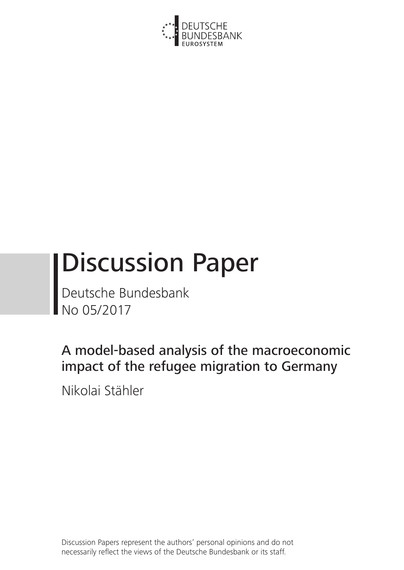

# Discussion Paper

Deutsche Bundesbank No 05/2017

A model-based analysis of the macroeconomic impact of the refugee migration to Germany

Nikolai Stähler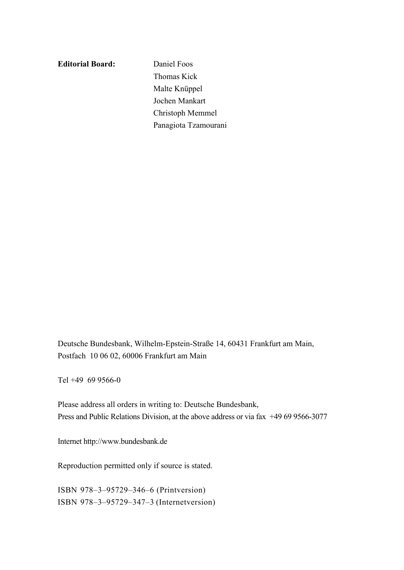**Editorial Board:**

 Daniel Foos Thomas Kick Malte Knüppel Jochen Mankart Christoph Memmel Panagiota Tzamourani

Deutsche Bundesbank, Wilhelm-Epstein-Straße 14, 60431 Frankfurt am Main, Postfach 10 06 02, 60006 Frankfurt am Main

Tel +49 69 9566-0

Please address all orders in writing to: Deutsche Bundesbank, Press and Public Relations Division, at the above address or via fax +49 69 9566-3077

Internet http://www.bundesbank.de

Reproduction permitted only if source is stated.

ISBN 978–3–95729–346–6 (Printversion) ISBN 978–3–95729–347–3 (Internetversion)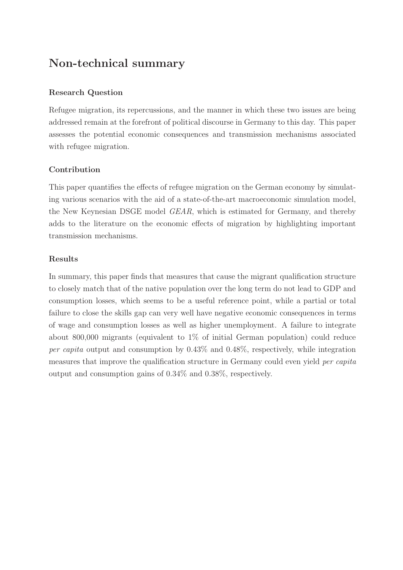## Non-technical summary

#### Research Question

Refugee migration, its repercussions, and the manner in which these two issues are being addressed remain at the forefront of political discourse in Germany to this day. This paper assesses the potential economic consequences and transmission mechanisms associated with refugee migration.

#### Contribution

This paper quantifies the effects of refugee migration on the German economy by simulating various scenarios with the aid of a state-of-the-art macroeconomic simulation model, the New Keynesian DSGE model GEAR, which is estimated for Germany, and thereby adds to the literature on the economic effects of migration by highlighting important transmission mechanisms.

#### Results

In summary, this paper finds that measures that cause the migrant qualification structure to closely match that of the native population over the long term do not lead to GDP and consumption losses, which seems to be a useful reference point, while a partial or total failure to close the skills gap can very well have negative economic consequences in terms of wage and consumption losses as well as higher unemployment. A failure to integrate about 800,000 migrants (equivalent to 1% of initial German population) could reduce per capita output and consumption by 0.43% and 0.48%, respectively, while integration measures that improve the qualification structure in Germany could even yield per capita output and consumption gains of 0.34% and 0.38%, respectively.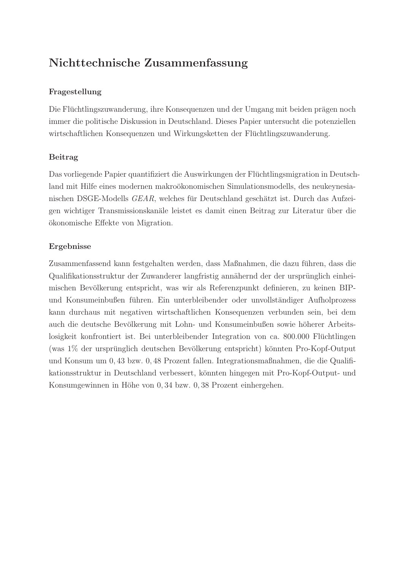## Nichttechnische Zusammenfassung

#### Fragestellung

Die Flüchtlingszuwanderung, ihre Konsequenzen und der Umgang mit beiden prägen noch immer die politische Diskussion in Deutschland. Dieses Papier untersucht die potenziellen wirtschaftlichen Konsequenzen und Wirkungsketten der Flüchtlingszuwanderung.

#### Beitrag

Das vorliegende Papier quantifiziert die Auswirkungen der Fluchtlingsmigration in Deutsch- ¨ land mit Hilfe eines modernen makroökonomischen Simulationsmodells, des neukeynesianischen DSGE-Modells GEAR, welches für Deutschland geschätzt ist. Durch das Aufzeigen wichtiger Transmissionskanäle leistet es damit einen Beitrag zur Literatur über die ¨okonomische Effekte von Migration.

#### Ergebnisse

Zusammenfassend kann festgehalten werden, dass Maßnahmen, die dazu führen, dass die Qualifikationsstruktur der Zuwanderer langfristig annähernd der der ursprünglich einheimischen Bevölkerung entspricht, was wir als Referenzpunkt definieren, zu keinen BIPund Konsumeinbußen führen. Ein unterbleibender oder unvollständiger Aufholprozess kann durchaus mit negativen wirtschaftlichen Konsequenzen verbunden sein, bei dem auch die deutsche Bevölkerung mit Lohn- und Konsumeinbußen sowie höherer Arbeitslosigkeit konfrontiert ist. Bei unterbleibender Integration von ca. 800.000 Flüchtlingen (was  $1\%$  der ursprünglich deutschen Bevölkerung entspricht) könnten Pro-Kopf-Output und Konsum um 0, 43 bzw. 0, 48 Prozent fallen. Integrationsmaßnahmen, die die Qualifikationsstruktur in Deutschland verbessert, könnten hingegen mit Pro-Kopf-Output- und Konsumgewinnen in Höhe von 0,34 bzw. 0,38 Prozent einhergehen.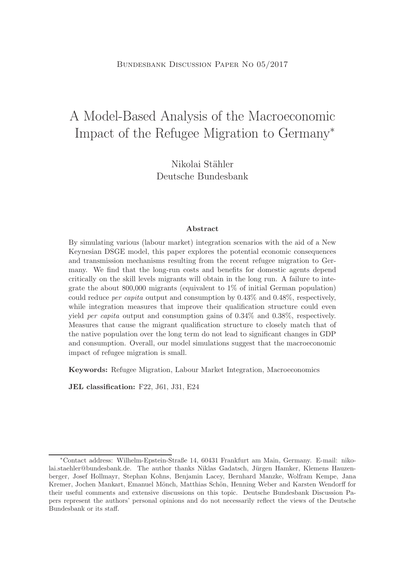# A Model-Based Analysis of the Macroeconomic Impact of the Refugee Migration to Germany<sup>∗</sup>

Nikolai Stähler Deutsche Bundesbank

#### Abstract

By simulating various (labour market) integration scenarios with the aid of a New Keynesian DSGE model, this paper explores the potential economic consequences and transmission mechanisms resulting from the recent refugee migration to Germany. We find that the long-run costs and benefits for domestic agents depend critically on the skill levels migrants will obtain in the long run. A failure to integrate the about  $800,000$  migrants (equivalent to  $1\%$  of initial German population) could reduce per capita output and consumption by 0.43% and 0.48%, respectively, while integration measures that improve their qualification structure could even yield per capita output and consumption gains of 0.34% and 0.38%, respectively. Measures that cause the migrant qualification structure to closely match that of the native population over the long term do not lead to significant changes in GDP and consumption. Overall, our model simulations suggest that the macroeconomic impact of refugee migration is small.

Keywords: Refugee Migration, Labour Market Integration, Macroeconomics

JEL classification: F22, J61, J31, E24

<sup>∗</sup>Contact address: Wilhelm-Epstein-Straße 14, 60431 Frankfurt am Main, Germany. E-mail: nikolai.staehler@bundesbank.de. The author thanks Niklas Gadatsch, Jürgen Hamker, Klemens Hauzenberger, Josef Hollmayr, Stephan Kohns, Benjamin Lacey, Bernhard Manzke, Wolfram Kempe, Jana Kremer, Jochen Mankart, Emanuel Mönch, Matthias Schön, Henning Weber and Karsten Wendorff for their useful comments and extensive discussions on this topic. Deutsche Bundesbank Discussion Papers represent the authors' personal opinions and do not necessarily reflect the views of the Deutsche Bundesbank or its staff.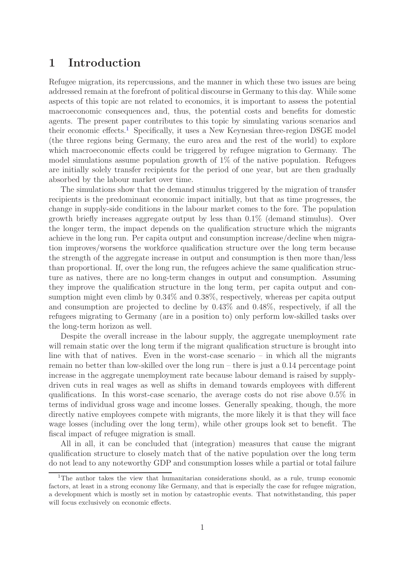## 1 Introduction

Refugee migration, its repercussions, and the manner in which these two issues are being addressed remain at the forefront of political discourse in Germany to this day. While some aspects of this topic are not related to economics, it is important to assess the potential macroeconomic consequences and, thus, the potential costs and benefits for domestic agents. The present paper contributes to this topic by simulating various scenarios and their economic effects.<sup>1</sup> Specifically, it uses a New Keynesian three-region DSGE model (the three regions being Germany, the euro area and the rest of the world) to explore which macroeconomic effects could be triggered by refugee migration to Germany. The model simulations assume population growth of 1% of the native population. Refugees are initially solely transfer recipients for the period of one year, but are then gradually absorbed by the labour market over time.

The simulations show that the demand stimulus triggered by the migration of transfer recipients is the predominant economic impact initially, but that as time progresses, the change in supply-side conditions in the labour market comes to the fore. The population growth briefly increases aggregate output by less than 0.1% (demand stimulus). Over the longer term, the impact depends on the qualification structure which the migrants achieve in the long run. Per capita output and consumption increase/decline when migration improves/worsens the workforce qualification structure over the long term because the strength of the aggregate increase in output and consumption is then more than/less than proportional. If, over the long run, the refugees achieve the same qualification structure as natives, there are no long-term changes in output and consumption. Assuming they improve the qualification structure in the long term, per capita output and consumption might even climb by 0.34% and 0.38%, respectively, whereas per capita output and consumption are projected to decline by 0.43% and 0.48%, respectively, if all the refugees migrating to Germany (are in a position to) only perform low-skilled tasks over the long-term horizon as well.

Despite the overall increase in the labour supply, the aggregate unemployment rate will remain static over the long term if the migrant qualification structure is brought into line with that of natives. Even in the worst-case scenario – in which all the migrants remain no better than low-skilled over the long run – there is just a 0.14 percentage point increase in the aggregate unemployment rate because labour demand is raised by supplydriven cuts in real wages as well as shifts in demand towards employees with different qualifications. In this worst-case scenario, the average costs do not rise above 0.5% in terms of individual gross wage and income losses. Generally speaking, though, the more directly native employees compete with migrants, the more likely it is that they will face wage losses (including over the long term), while other groups look set to benefit. The fiscal impact of refugee migration is small.

All in all, it can be concluded that (integration) measures that cause the migrant qualification structure to closely match that of the native population over the long term do not lead to any noteworthy GDP and consumption losses while a partial or total failure

<sup>&</sup>lt;sup>1</sup>The author takes the view that humanitarian considerations should, as a rule, trump economic factors, at least in a strong economy like Germany, and that is especially the case for refugee migration, a development which is mostly set in motion by catastrophic events. That notwithstanding, this paper will focus exclusively on economic effects.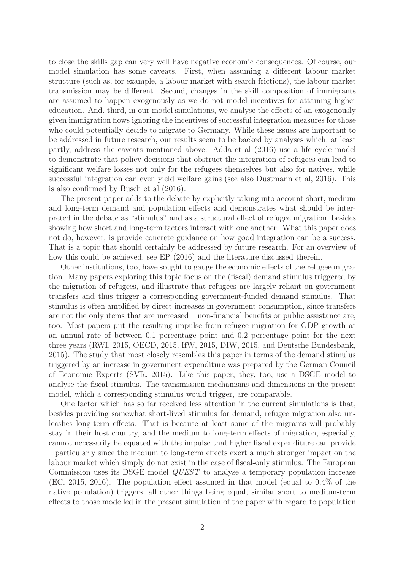to close the skills gap can very well have negative economic consequences. Of course, our model simulation has some caveats. First, when assuming a different labour market structure (such as, for example, a labour market with search frictions), the labour market transmission may be different. Second, changes in the skill composition of immigrants are assumed to happen exogenously as we do not model incentives for attaining higher education. And, third, in our model simulations, we analyse the effects of an exogenously given immigration flows ignoring the incentives of successful integration measures for those who could potentially decide to migrate to Germany. While these issues are important to be addressed in future research, our results seem to be backed by analyses which, at least partly, address the caveats mentioned above. Adda et al (2016) use a life cycle model to demonstrate that policy decisions that obstruct the integration of refugees can lead to significant welfare losses not only for the refugees themselves but also for natives, while successful integration can even yield welfare gains (see also Dustmann et al, 2016). This is also confirmed by Busch et al (2016).

The present paper adds to the debate by explicitly taking into account short, medium and long-term demand and population effects and demonstrates what should be interpreted in the debate as "stimulus" and as a structural effect of refugee migration, besides showing how short and long-term factors interact with one another. What this paper does not do, however, is provide concrete guidance on how good integration can be a success. That is a topic that should certainly be addressed by future research. For an overview of how this could be achieved, see EP (2016) and the literature discussed therein.

Other institutions, too, have sought to gauge the economic effects of the refugee migration. Many papers exploring this topic focus on the (fiscal) demand stimulus triggered by the migration of refugees, and illustrate that refugees are largely reliant on government transfers and thus trigger a corresponding government-funded demand stimulus. That stimulus is often amplified by direct increases in government consumption, since transfers are not the only items that are increased – non-financial benefits or public assistance are, too. Most papers put the resulting impulse from refugee migration for GDP growth at an annual rate of between 0.1 percentage point and 0.2 percentage point for the next three years (RWI, 2015, OECD, 2015, IfW, 2015, DIW, 2015, and Deutsche Bundesbank, 2015). The study that most closely resembles this paper in terms of the demand stimulus triggered by an increase in government expenditure was prepared by the German Council of Economic Experts (SVR, 2015). Like this paper, they, too, use a DSGE model to analyse the fiscal stimulus. The transmission mechanisms and dimensions in the present model, which a corresponding stimulus would trigger, are comparable.

One factor which has so far received less attention in the current simulations is that, besides providing somewhat short-lived stimulus for demand, refugee migration also unleashes long-term effects. That is because at least some of the migrants will probably stay in their host country, and the medium to long-term effects of migration, especially, cannot necessarily be equated with the impulse that higher fiscal expenditure can provide – particularly since the medium to long-term effects exert a much stronger impact on the labour market which simply do not exist in the case of fiscal-only stimulus. The European Commission uses its DSGE model QUEST to analyse a temporary population increase (EC, 2015, 2016). The population effect assumed in that model (equal to 0.4% of the native population) triggers, all other things being equal, similar short to medium-term effects to those modelled in the present simulation of the paper with regard to population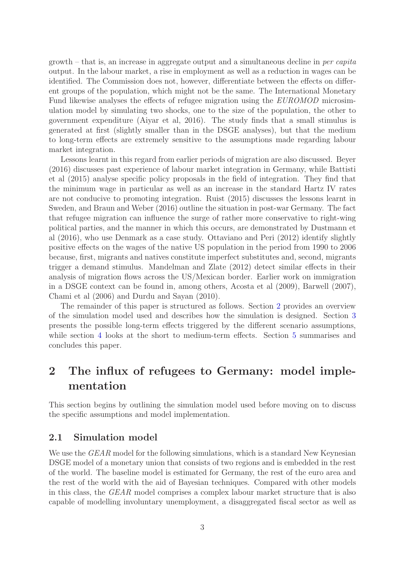growth – that is, an increase in aggregate output and a simultaneous decline in per capita output. In the labour market, a rise in employment as well as a reduction in wages can be identified. The Commission does not, however, differentiate between the effects on different groups of the population, which might not be the same. The International Monetary Fund likewise analyses the effects of refugee migration using the EUROMOD microsimulation model by simulating two shocks, one to the size of the population, the other to government expenditure (Aiyar et al, 2016). The study finds that a small stimulus is generated at first (slightly smaller than in the DSGE analyses), but that the medium to long-term effects are extremely sensitive to the assumptions made regarding labour market integration.

Lessons learnt in this regard from earlier periods of migration are also discussed. Beyer (2016) discusses past experience of labour market integration in Germany, while Battisti et al (2015) analyse specific policy proposals in the field of integration. They find that the minimum wage in particular as well as an increase in the standard Hartz IV rates are not conducive to promoting integration. Ruist (2015) discusses the lessons learnt in Sweden, and Braun and Weber (2016) outline the situation in post-war Germany. The fact that refugee migration can influence the surge of rather more conservative to right-wing political parties, and the manner in which this occurs, are demonstrated by Dustmann et al (2016), who use Denmark as a case study. Ottaviano and Peri (2012) identify slightly positive effects on the wages of the native US population in the period from 1990 to 2006 because, first, migrants and natives constitute imperfect substitutes and, second, migrants trigger a demand stimulus. Mandelman and Zlate (2012) detect similar effects in their analysis of migration flows across the US/Mexican border. Earlier work on immigration in a DSGE context can be found in, among others, Acosta et al (2009), Barwell (2007), Chami et al (2006) and Durdu and Sayan (2010).

The remainder of this paper is structured as follows. Section [2](#page-7-0) provides an overview of the simulation model used and describes how the simulation is designed. Section [3](#page-13-0) presents the possible long-term effects triggered by the different scenario assumptions, while section [4](#page-18-0) looks at the short to medium-term effects. Section [5](#page-23-0) summarises and concludes this paper.

## <span id="page-7-0"></span>2 The influx of refugees to Germany: model implementation

This section begins by outlining the simulation model used before moving on to discuss the specific assumptions and model implementation.

#### <span id="page-7-1"></span>2.1 Simulation model

We use the *GEAR* model for the following simulations, which is a standard New Keynesian DSGE model of a monetary union that consists of two regions and is embedded in the rest of the world. The baseline model is estimated for Germany, the rest of the euro area and the rest of the world with the aid of Bayesian techniques. Compared with other models in this class, the GEAR model comprises a complex labour market structure that is also capable of modelling involuntary unemployment, a disaggregated fiscal sector as well as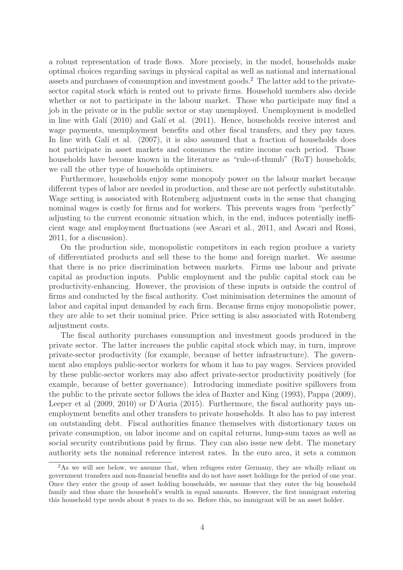a robust representation of trade flows. More precisely, in the model, households make optimal choices regarding savings in physical capital as well as national and international assets and purchases of consumption and investment goods.<sup>2</sup> The latter add to the privatesector capital stock which is rented out to private firms. Household members also decide whether or not to participate in the labour market. Those who participate may find a job in the private or in the public sector or stay unemployed. Unemployment is modelled in line with Galí (2010) and Galí et al. (2011). Hence, households receive interest and wage payments, unemployment benefits and other fiscal transfers, and they pay taxes. In line with Galí et al.  $(2007)$ , it is also assumed that a fraction of households does not participate in asset markets and consumes the entire income each period. Those households have become known in the literature as "rule-of-thumb" (RoT) households; we call the other type of households optimisers.

Furthermore, households enjoy some monopoly power on the labour market because different types of labor are needed in production, and these are not perfectly substitutable. Wage setting is associated with Rotemberg adjustment costs in the sense that changing nominal wages is costly for firms and for workers. This prevents wages from "perfectly" adjusting to the current economic situation which, in the end, induces potentially inefficient wage and employment fluctuations (see Ascari et al., 2011, and Ascari and Rossi, 2011, for a discussion).

On the production side, monopolistic competitors in each region produce a variety of differentiated products and sell these to the home and foreign market. We assume that there is no price discrimination between markets. Firms use labour and private capital as production inputs. Public employment and the public capital stock can be productivity-enhancing. However, the provision of these inputs is outside the control of firms and conducted by the fiscal authority. Cost minimisation determines the amount of labor and capital input demanded by each firm. Because firms enjoy monopolistic power, they are able to set their nominal price. Price setting is also associated with Rotemberg adjustment costs.

The fiscal authority purchases consumption and investment goods produced in the private sector. The latter increases the public capital stock which may, in turn, improve private-sector productivity (for example, because of better infrastructure). The government also employs public-sector workers for whom it has to pay wages. Services provided by these public-sector workers may also affect private-sector productivity positively (for example, because of better governance). Introducing immediate positive spillovers from the public to the private sector follows the idea of Baxter and King (1993), Pappa (2009), Leeper et al  $(2009, 2010)$  or D'Auria  $(2015)$ . Furthermore, the fiscal authority pays unemployment benefits and other transfers to private households. It also has to pay interest on outstanding debt. Fiscal authorities finance themselves with distortionary taxes on private consumption, on labor income and on capital returns, lump-sum taxes as well as social security contributions paid by firms. They can also issue new debt. The monetary authority sets the nominal reference interest rates. In the euro area, it sets a common

<sup>&</sup>lt;sup>2</sup>As we will see below, we assume that, when refugees enter Germany, they are wholly reliant on government transfers and non-financial benefits and do not have asset holdings for the period of one year. Once they enter the group of asset holding households, we assume that they enter the big household family and thus share the household's wealth in equal amounts. However, the first immigrant entering this household type needs about 8 years to do so. Before this, no immigrant will be an asset holder.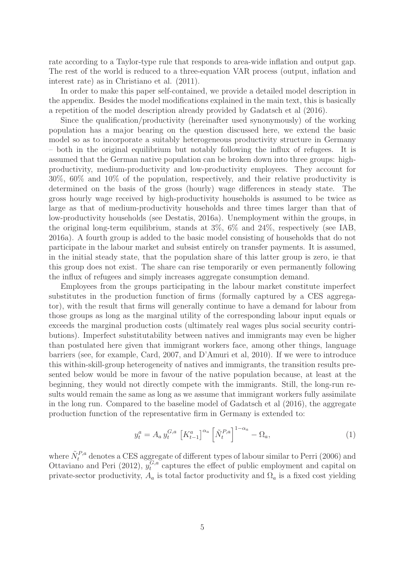rate according to a Taylor-type rule that responds to area-wide inflation and output gap. The rest of the world is reduced to a three-equation VAR process (output, inflation and interest rate) as in Christiano et al. (2011).

In order to make this paper self-contained, we provide a detailed model description in the appendix. Besides the model modifications explained in the main text, this is basically a repetition of the model description already provided by Gadatsch et al (2016).

Since the qualification/productivity (hereinafter used synonymously) of the working population has a major bearing on the question discussed here, we extend the basic model so as to incorporate a suitably heterogeneous productivity structure in Germany – both in the original equilibrium but notably following the influx of refugees. It is assumed that the German native population can be broken down into three groups: highproductivity, medium-productivity and low-productivity employees. They account for 30%, 60% and 10% of the population, respectively, and their relative productivity is determined on the basis of the gross (hourly) wage differences in steady state. The gross hourly wage received by high-productivity households is assumed to be twice as large as that of medium-productivity households and three times larger than that of low-productivity households (see Destatis, 2016a). Unemployment within the groups, in the original long-term equilibrium, stands at 3%, 6% and 24%, respectively (see IAB, 2016a). A fourth group is added to the basic model consisting of households that do not participate in the labour market and subsist entirely on transfer payments. It is assumed, in the initial steady state, that the population share of this latter group is zero, ie that this group does not exist. The share can rise temporarily or even permanently following the influx of refugees and simply increases aggregate consumption demand.

Employees from the groups participating in the labour market constitute imperfect substitutes in the production function of firms (formally captured by a CES aggregator), with the result that firms will generally continue to have a demand for labour from those groups as long as the marginal utility of the corresponding labour input equals or exceeds the marginal production costs (ultimately real wages plus social security contributions). Imperfect substitutability between natives and immigrants may even be higher than postulated here given that immigrant workers face, among other things, language barriers (see, for example, Card, 2007, and D'Amuri et al, 2010). If we were to introduce this within-skill-group heterogeneity of natives and immigrants, the transition results presented below would be more in favour of the native population because, at least at the beginning, they would not directly compete with the immigrants. Still, the long-run results would remain the same as long as we assume that immigrant workers fully assimilate in the long run. Compared to the baseline model of Gadatsch et al (2016), the aggregate production function of the representative firm in Germany is extended to:

<span id="page-9-0"></span>
$$
y_t^a = A_a y_t^{G,a} \left[ K_{t-1}^a \right]^{\alpha_a} \left[ \tilde{N}_t^{P,a} \right]^{1-\alpha_a} - \Omega_a, \tag{1}
$$

where  $\tilde{N}_t^{P,a}$  denotes a CES aggregate of different types of labour similar to Perri (2006) and Ottaviano and Peri (2012),  $y_t^{G,a}$  $t_t^{\mathcal{G},a}$  captures the effect of public employment and capital on private-sector productivity,  $A_a$  is total factor productivity and  $\Omega_a$  is a fixed cost yielding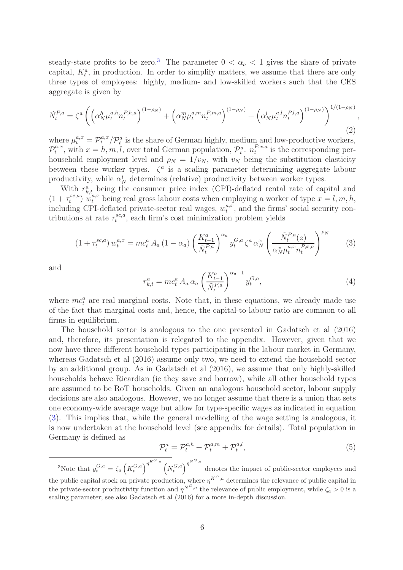steady-state profits to be zero.<sup>3</sup> The parameter  $0 < \alpha_a < 1$  gives the share of private capital,  $K_t^a$ , in production. In order to simplify matters, we assume that there are only three types of employees: highly, medium- and low-skilled workers such that the CES aggregate is given by

<span id="page-10-2"></span>
$$
\tilde{N}_t^{P,a} = \zeta^a \left( \left( \alpha_N^h \mu_t^{a,h} n_t^{P,h,a} \right)^{(1-\rho_N)} + \left( \alpha_N^m \mu_t^{a,m} n_t^{P,m,a} \right)^{(1-\rho_N)} + \left( \alpha_N^l \mu_t^{a,l} n_t^{P,l,a} \right)^{(1-\rho_N)} \right)^{1/(1-\rho_N)},\tag{2}
$$

where  $\mu_t^{a,x} = \mathcal{P}_t^{a,x}/\mathcal{P}_t^a$  is the share of German highly, medium and low-productive workers,  $\mathcal{P}^{a,x}_*$  $t^{a,x}$ , with  $x = h, m, l$ , over total German population,  $\mathcal{P}_t^a$ .  $n_t^{P,x,a}$  $t^{r,x,a}$  is the corresponding perhousehold employment level and  $\rho_N = 1/v_N$ , with  $v_N$  being the substitution elasticity between these worker types.  $\zeta^a$  is a scaling parameter determining aggregate labour productivity, while  $\alpha_N^i$  determines (relative) productivity between worker types.

With  $r_{k,t}^a$  being the consumer price index (CPI)-deflated rental rate of capital and  $(1+\tau_t^{sc,a})$  $t^{s,c,a}$ ,  $w^{a,x}_t$  being real gross labour costs when employing a worker of type  $x = l, m, h$ , including CPI-deflated private-sector real wages,  $w_t^{a,x}$  $t^{a,x}$ , and the firms' social security contributions at rate  $\tau_t^{sc,a}$  $t^{sc,a}$ , each firm's cost minimization problem yields

$$
(1 + \tau_t^{sc,a}) w_t^{a,x} = mc_t^a A_a (1 - \alpha_a) \left(\frac{K_{t-1}^a}{\tilde{N}_t^{P,a}}\right)^{\alpha_a} y_t^{G,a} \zeta^a \alpha_N^x \left(\frac{\tilde{N}_t^{P,a}(z)}{\alpha_N^x \mu_t^{a,x} n_t^{P,x,a}}\right)^{\rho_N}
$$
(3)

<span id="page-10-1"></span>and

<span id="page-10-0"></span>
$$
r_{k,t}^a = mc_t^a A_a \alpha_a \left(\frac{K_{t-1}^a}{\tilde{N}_t^{P,a}}\right)^{\alpha_a - 1} y_t^{G,a},\tag{4}
$$

where  $mc_t^a$  are real marginal costs. Note that, in these equations, we already made use of the fact that marginal costs and, hence, the capital-to-labour ratio are common to all firms in equilibrium.

The household sector is analogous to the one presented in Gadatsch et al (2016) and, therefore, its presentation is relegated to the appendix. However, given that we now have three different household types participating in the labour market in Germany, whereas Gadatsch et al (2016) assume only two, we need to extend the household sector by an additional group. As in Gadatsch et al (2016), we assume that only highly-skilled households behave Ricardian (ie they save and borrow), while all other household types are assumed to be RoT households. Given an analogous household sector, labour supply decisions are also analogous. However, we no longer assume that there is a union that sets one economy-wide average wage but allow for type-specific wages as indicated in equation [\(3\)](#page-10-0). This implies that, while the general modelling of the wage setting is analogous, it is now undertaken at the household level (see appendix for details). Total population in Germany is defined as

<span id="page-10-3"></span>
$$
\mathcal{P}_t^a = \mathcal{P}_t^{a,h} + \mathcal{P}_t^{a,m} + \mathcal{P}_t^{a,l},\tag{5}
$$

<sup>3</sup>Note that  $y_t^{G,a} = \zeta_a \left( K_t^{G,a} \right)^{\eta^{K^G,a}} \left( N_t^{G,a} \right)^{\eta^{N^G,a}}$ denotes the impact of public-sector employees and the public capital stock on private production, where  $\eta^{K^G,a}$  determines the relevance of public capital in the private-sector productivity function and  $\eta^{N^G,a}$  the relevance of public employment, while  $\zeta_a > 0$  is a scaling parameter; see also Gadatsch et al (2016) for a more in-depth discussion.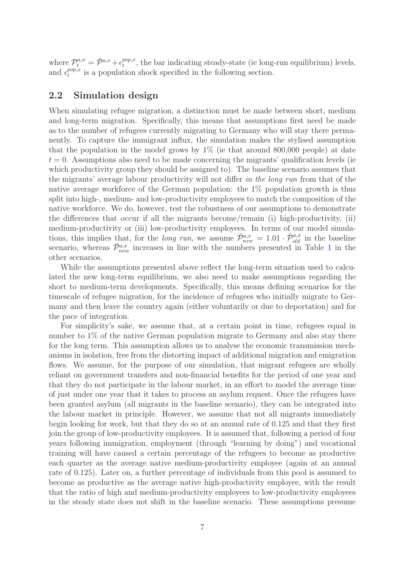where  $\mathcal{P}_t^{a,x} = \bar{\mathcal{P}}_{t}^{a,x} + \epsilon_t^{pop,x}$  $t^{pop,x}$ , the bar indicating steady-state (ie long-run equilibrium) levels, and  $\epsilon_t^{pop,x}$  $t_t^{pop,x}$  is a population shock specified in the following section.

#### <span id="page-11-0"></span>2.2 Simulation design

When simulating refugee migration, a distinction must be made between short, medium and long-term migration. Specifically, this means that assumptions first need be made as to the number of refugees currently migrating to Germany who will stay there permanently. To capture the immigrant influx, the simulation makes the stylised assumption that the population in the model grows by  $1\%$  (ie that around 800,000 people) at date  $t = 0$ . Assumptions also need to be made concerning the migrants' qualification levels (ie which productivity group they should be assigned to). The baseline scenario assumes that the migrants' average labour productivity will not differ in the long run from that of the native average workforce of the German population: the 1% population growth is thus split into high-, medium- and low-productivity employees to match the composition of the native workforce. We do, however, test the robustness of our assumptions to demonstrate the differences that occur if all the migrants become/remain (i) high-productivity, (ii) medium-productivity or (iii) low-productivity employees. In terms of our model simulations, this implies that, for the *long run*, we assume  $\bar{\mathcal{P}}_{new}^{a,x} = 1.01 \cdot \bar{\mathcal{P}}_{old}^{a,x}$  in the baseline scenario, whereas  $\bar{\mathcal{P}}_{new}^{a,x}$  increases in line with the numbers presented in Table [1](#page-46-0) in the other scenarios.

While the assumptions presented above reflect the long-term situation used to calculated the new long-term equilibrium, we also need to make assumptions regarding the short to medium-term developments. Specifically, this means defining scenarios for the timescale of refugee migration, for the incidence of refugees who initially migrate to Germany and then leave the country again (either voluntarily or due to deportation) and for the pace of integration.

For simplicity's sake, we assume that, at a certain point in time, refugees equal in number to 1% of the native German population migrate to Germany and also stay there for the long term. This assumption allows us to analyse the economic transmission mechanisms in isolation, free from the distorting impact of additional migration and emigration flows. We assume, for the purpose of our simulation, that migrant refugees are wholly reliant on government transfers and non-financial benefits for the period of one year and that they do not participate in the labour market, in an effort to model the average time of just under one year that it takes to process an asylum request. Once the refugees have been granted asylum (all migrants in the baseline scenario), they can be integrated into the labour market in principle. However, we assume that not all migrants immediately begin looking for work, but that they do so at an annual rate of 0.125 and that they first join the group of low-productivity employees. It is assumed that, following a period of four years following immigration, employment (through "learning by doing") and vocational training will have caused a certain percentage of the refugees to become as productive each quarter as the average native medium-productivity employee (again at an annual rate of 0.125). Later on, a further percentage of individuals from this pool is assumed to become as productive as the average native high-productivity employee, with the result that the ratio of high and medium-productivity employees to low-productivity employees in the steady state does not shift in the baseline scenario. These assumptions presume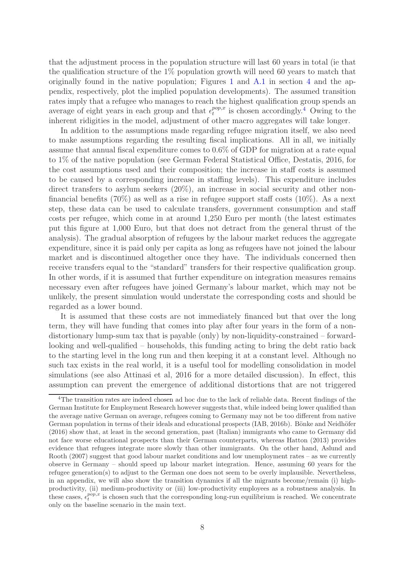that the adjustment process in the population structure will last 60 years in total (ie that the qualification structure of the 1% population growth will need 60 years to match that originally found in the native population; Figures [1](#page-19-0) and [A.1](#page-24-0) in section [4](#page-18-0) and the appendix, respectively, plot the implied population developments). The assumed transition rates imply that a refugee who manages to reach the highest qualification group spends an average of eight years in each group and that  $\epsilon_t^{pop,x}$  $t_t^{pop,x}$  is chosen accordingly.<sup>4</sup> Owing to the inherent ridigities in the model, adjustment of other macro aggregates will take longer.

In addition to the assumptions made regarding refugee migration itself, we also need to make assumptions regarding the resulting fiscal implications. All in all, we initially assume that annual fiscal expenditure comes to 0.6% of GDP for migration at a rate equal to 1% of the native population (see German Federal Statistical Office, Destatis, 2016, for the cost assumptions used and their composition; the increase in staff costs is assumed to be caused by a corresponding increase in staffing levels). This expenditure includes direct transfers to asylum seekers  $(20\%)$ , an increase in social security and other nonfinancial benefits  $(70\%)$  as well as a rise in refugee support staff costs  $(10\%)$ . As a next step, these data can be used to calculate transfers, government consumption and staff costs per refugee, which come in at around 1,250 Euro per month (the latest estimates put this figure at 1,000 Euro, but that does not detract from the general thrust of the analysis). The gradual absorption of refugees by the labour market reduces the aggregate expenditure, since it is paid only per capita as long as refugees have not joined the labour market and is discontinued altogether once they have. The individuals concerned then receive transfers equal to the "standard" transfers for their respective qualification group. In other words, if it is assumed that further expenditure on integration measures remains necessary even after refugees have joined Germany's labour market, which may not be unlikely, the present simulation would understate the corresponding costs and should be regarded as a lower bound.

It is assumed that these costs are not immediately financed but that over the long term, they will have funding that comes into play after four years in the form of a nondistortionary lump-sum tax that is payable (only) by non-liquidity-constrained – forwardlooking and well-qualified – households, this funding acting to bring the debt ratio back to the starting level in the long run and then keeping it at a constant level. Although no such tax exists in the real world, it is a useful tool for modelling consolidation in model simulations (see also Attinasi et al, 2016 for a more detailed discussion). In effect, this assumption can prevent the emergence of additional distortions that are not triggered

<sup>&</sup>lt;sup>4</sup>The transition rates are indeed chosen ad hoc due to the lack of reliable data. Recent findings of the German Institute for Employment Research however suggests that, while indeed being lower qualified than the average native German on average, refugees coming to Germany may not be too different from native German population in terms of their ideals and educational prospects (IAB, 2016b). Bönke and Neidhöfer (2016) show that, at least in the second generation, past (Italian) immigrants who came to Germany did not face worse educational prospects than their German counterparts, whereas Hatton (2013) provides evidence that refugees integrate more slowly than other immigrants. On the other hand, Aslund and Rooth (2007) suggest that good labour market conditions and low unemployment rates – as we currently observe in Germany – should speed up labour market integration. Hence, assuming 60 years for the refugee generation(s) to adjust to the German one does not seem to be overly implausible. Nevertheless, in an appendix, we will also show the transition dynamics if all the migrants become/remain (i) highproductivity, (ii) medium-productivity or (iii) low-productivity employees as a robustness analysis. In these cases,  $\epsilon_t^{pop,x}$  is chosen such that the corresponding long-run equilibrium is reached. We concentrate only on the baseline scenario in the main text.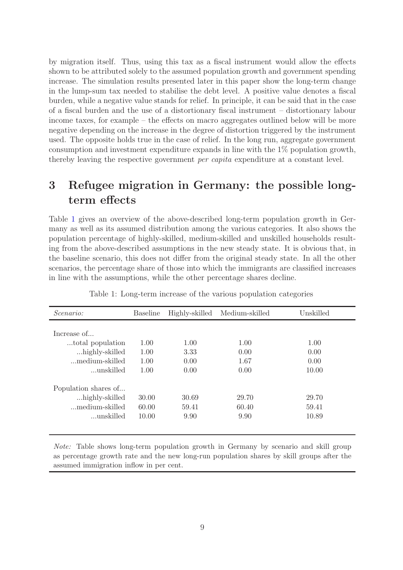by migration itself. Thus, using this tax as a fiscal instrument would allow the effects shown to be attributed solely to the assumed population growth and government spending increase. The simulation results presented later in this paper show the long-term change in the lump-sum tax needed to stabilise the debt level. A positive value denotes a fiscal burden, while a negative value stands for relief. In principle, it can be said that in the case of a fiscal burden and the use of a distortionary fiscal instrument – distortionary labour income taxes, for example – the effects on macro aggregates outlined below will be more negative depending on the increase in the degree of distortion triggered by the instrument used. The opposite holds true in the case of relief. In the long run, aggregate government consumption and investment expenditure expands in line with the 1% population growth, thereby leaving the respective government per capita expenditure at a constant level.

## <span id="page-13-0"></span>3 Refugee migration in Germany: the possible longterm effects

Table [1](#page-46-0) gives an overview of the above-described long-term population growth in Germany as well as its assumed distribution among the various categories. It also shows the population percentage of highly-skilled, medium-skilled and unskilled households resulting from the above-described assumptions in the new steady state. It is obvious that, in the baseline scenario, this does not differ from the original steady state. In all the other scenarios, the percentage share of those into which the immigrants are classified increases in line with the assumptions, while the other percentage shares decline.

| <i>Scenario:</i>     | <b>Baseline</b> | Highly-skilled | Medium-skilled | Unskilled |
|----------------------|-----------------|----------------|----------------|-----------|
|                      |                 |                |                |           |
| Increase of          |                 |                |                |           |
| total population     | 1.00            | 1.00           | 1.00           | 1.00      |
| highly-skilled       | 1.00            | 3.33           | 0.00           | 0.00      |
| medium-skilled       | 1.00            | 0.00           | 1.67           | 0.00      |
| …unskilled           | 1.00            | 0.00           | 0.00           | 10.00     |
| Population shares of |                 |                |                |           |
| highly-skilled       | 30.00           | 30.69          | 29.70          | 29.70     |
| medium-skilled       | 60.00           | 59.41          | 60.40          | 59.41     |
| …unskilled           | 10.00           | 9.90           | 9.90           | 10.89     |
|                      |                 |                |                |           |
|                      |                 |                |                |           |

Table 1: Long-term increase of the various population categories

Note: Table shows long-term population growth in Germany by scenario and skill group as percentage growth rate and the new long-run population shares by skill groups after the assumed immigration inflow in per cent.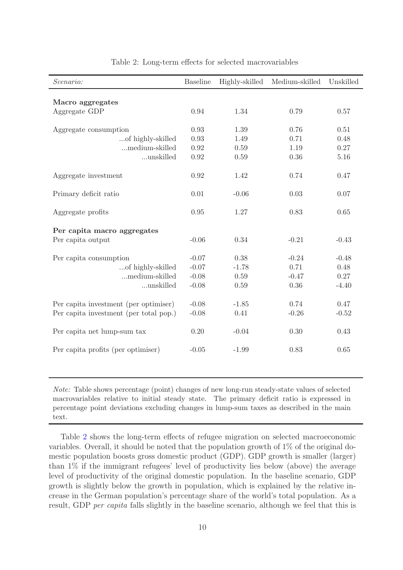| Scenario:                              | <b>Baseline</b> | Highly-skilled | Medium-skilled | Unskilled |
|----------------------------------------|-----------------|----------------|----------------|-----------|
|                                        |                 |                |                |           |
| Macro aggregates                       |                 |                |                |           |
| Aggregate GDP                          | 0.94            | 1.34           | 0.79           | 0.57      |
| Aggregate consumption                  | 0.93            | 1.39           | 0.76           | 0.51      |
| of highly-skilled                      | 0.93            | 1.49           | 0.71           | 0.48      |
| medium-skilled                         | 0.92            | 0.59           | 1.19           | 0.27      |
| unskilled                              | 0.92            | 0.59           | 0.36           | 5.16      |
| Aggregate investment                   | 0.92            | 1.42           | 0.74           | 0.47      |
| Primary deficit ratio                  | 0.01            | $-0.06$        | 0.03           | 0.07      |
| Aggregate profits                      | 0.95            | 1.27           | 0.83           | 0.65      |
| Per capita macro aggregates            |                 |                |                |           |
| Per capita output                      | $-0.06$         | 0.34           | $-0.21$        | $-0.43$   |
| Per capita consumption                 | $-0.07$         | 0.38           | $-0.24$        | $-0.48$   |
| of highly-skilled                      | $-0.07$         | $-1.78$        | 0.71           | 0.48      |
| medium-skilled                         | $-0.08$         | 0.59           | $-0.47$        | 0.27      |
| unskilled                              | $-0.08$         | 0.59           | 0.36           | $-4.40$   |
| Per capita investment (per optimiser)  | $-0.08$         | $-1.85$        | 0.74           | 0.47      |
| Per capita investment (per total pop.) | $-0.08$         | 0.41           | $-0.26$        | $-0.52$   |
| Per capita net lump-sum tax            | 0.20            | $-0.04$        | 0.30           | 0.43      |
| Per capita profits (per optimiser)     | $-0.05$         | $-1.99$        | 0.83           | 0.65      |

#### Table 2: Long-term effects for selected macrovariables

Note: Table shows percentage (point) changes of new long-run steady-state values of selected macrovariables relative to initial steady state. The primary deficit ratio is expressed in percentage point deviations excluding changes in lump-sum taxes as described in the main text.

Table [2](#page-48-0) shows the long-term effects of refugee migration on selected macroeconomic variables. Overall, it should be noted that the population growth of 1% of the original domestic population boosts gross domestic product (GDP). GDP growth is smaller (larger) than 1% if the immigrant refugees' level of productivity lies below (above) the average level of productivity of the original domestic population. In the baseline scenario, GDP growth is slightly below the growth in population, which is explained by the relative increase in the German population's percentage share of the world's total population. As a result, GDP per capita falls slightly in the baseline scenario, although we feel that this is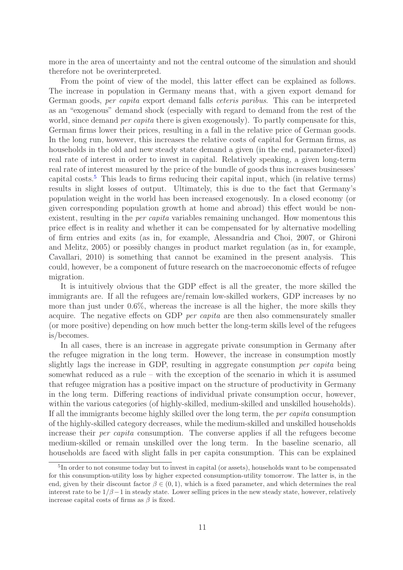more in the area of uncertainty and not the central outcome of the simulation and should therefore not be overinterpreted.

From the point of view of the model, this latter effect can be explained as follows. The increase in population in Germany means that, with a given export demand for German goods, per capita export demand falls ceteris paribus. This can be interpreted as an "exogenous" demand shock (especially with regard to demand from the rest of the world, since demand *per capita* there is given exogenously). To partly compensate for this, German firms lower their prices, resulting in a fall in the relative price of German goods. In the long run, however, this increases the relative costs of capital for German firms, as households in the old and new steady state demand a given (in the end, parameter-fixed) real rate of interest in order to invest in capital. Relatively speaking, a given long-term real rate of interest measured by the price of the bundle of goods thus increases businesses' capital costs.<sup>5</sup> This leads to firms reducing their capital input, which (in relative terms) results in slight losses of output. Ultimately, this is due to the fact that Germany's population weight in the world has been increased exogenously. In a closed economy (or given corresponding population growth at home and abroad) this effect would be nonexistent, resulting in the *per capita* variables remaining unchanged. How momentous this price effect is in reality and whether it can be compensated for by alternative modelling of firm entries and exits (as in, for example, Alessandria and Choi, 2007, or Ghironi and Melitz, 2005) or possibly changes in product market regulation (as in, for example, Cavallari, 2010) is something that cannot be examined in the present analysis. This could, however, be a component of future research on the macroeconomic effects of refugee migration.

It is intuitively obvious that the GDP effect is all the greater, the more skilled the immigrants are. If all the refugees are/remain low-skilled workers, GDP increases by no more than just under 0.6%, whereas the increase is all the higher, the more skills they acquire. The negative effects on GDP per capita are then also commensurately smaller (or more positive) depending on how much better the long-term skills level of the refugees is/becomes.

In all cases, there is an increase in aggregate private consumption in Germany after the refugee migration in the long term. However, the increase in consumption mostly slightly lags the increase in GDP, resulting in aggregate consumption per capita being somewhat reduced as a rule – with the exception of the scenario in which it is assumed that refugee migration has a positive impact on the structure of productivity in Germany in the long term. Differing reactions of individual private consumption occur, however, within the various categories (of highly-skilled, medium-skilled and unskilled households). If all the immigrants become highly skilled over the long term, the per capita consumption of the highly-skilled category decreases, while the medium-skilled and unskilled households increase their per capita consumption. The converse applies if all the refugees become medium-skilled or remain unskilled over the long term. In the baseline scenario, all households are faced with slight falls in per capita consumption. This can be explained

<sup>5</sup> In order to not consume today but to invest in capital (or assets), households want to be compensated for this consumption-utility loss by higher expected consumption-utility tomorrow. The latter is, in the end, given by their discount factor  $\beta \in (0,1)$ , which is a fixed parameter, and which determines the real interest rate to be  $1/\beta-1$  in steady state. Lower selling prices in the new steady state, however, relatively increase capital costs of firms as  $\beta$  is fixed.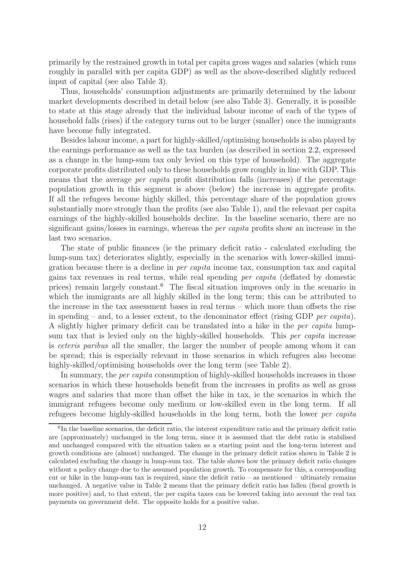primarily by the restrained growth in total per capita gross wages and salaries (which runs roughly in parallel with per capita GDP) as well as the above-described slightly reduced input of capital (see also Table [3\)](#page-17-0).

Thus, households' consumption adjustments are primarily determined by the labour market developments described in detail below (see also Table [3\)](#page-17-0). Generally, it is possible to state at this stage already that the individual labour income of each of the types of household falls (rises) if the category turns out to be larger (smaller) once the immigrants have become fully integrated.

Besides labour income, a part for highly-skilled/optimising households is also played by the earnings performance as well as the tax burden (as described in section [2.2,](#page-11-0) expressed as a change in the lump-sum tax only levied on this type of household). The aggregate corporate profits distributed only to these households grow roughly in line with GDP. This means that the average per capita profit distribution falls (increases) if the percentage population growth in this segment is above (below) the increase in aggregate profits. If all the refugees become highly skilled, this percentage share of the population grows substantially more strongly than the profits (see also Table [1\)](#page-46-0), and the relevant per capita earnings of the highly-skilled households decline. In the baseline scenario, there are no significant gains/losses in earnings, whereas the per capita profits show an increase in the last two scenarios.

The state of public finances (ie the primary deficit ratio - calculated excluding the lump-sum tax) deteriorates slightly, especially in the scenarios with lower-skilled immigration because there is a decline in per capita income tax, consumption tax and capital gains tax revenues in real terms, while real spending per capita (deflated by domestic prices) remain largely constant.<sup>6</sup> The fiscal situation improves only in the scenario in which the immigrants are all highly skilled in the long term; this can be attributed to the increase in the tax assessment bases in real terms – which more than offsets the rise in spending – and, to a lesser extent, to the denominator effect (rising GDP per capita). A slightly higher primary deficit can be translated into a hike in the per capita lumpsum tax that is levied only on the highly-skilled households. This per capita increase is ceteris paribus all the smaller, the larger the number of people among whom it can be spread; this is especially relevant in those scenarios in which refugees also become highly-skilled/optimising households over the long term (see Table [2\)](#page-48-0).

In summary, the *per capita* consumption of highly-skilled households increases in those scenarios in which these households benefit from the increases in profits as well as gross wages and salaries that more than offset the hike in tax, ie the scenarios in which the immigrant refugees become only medium or low-skilled even in the long term. If all refugees become highly-skilled households in the long term, both the lower per capita

<sup>&</sup>lt;sup>6</sup>In the baseline scenarios, the deficit ratio, the interest expenditure ratio and the primary deficit ratio are (approximately) unchanged in the long term, since it is assumed that the debt ratio is stabilised and unchanged compared with the situation taken as a starting point and the long-term interest and growth conditions are (almost) unchanged. The change in the primary deficit ratios shown in Table [2](#page-48-0) is calculated excluding the change in lump-sum tax. The table shows how the primary deficit ratio changes without a policy change due to the assumed population growth. To compensate for this, a corresponding cut or hike in the lump-sum tax is required, since the deficit ratio – as mentioned – ultimately remains unchanged. A negative value in Table [2](#page-48-0) means that the primary deficit ratio has fallen (fiscal growth is more positive) and, to that extent, the per capita taxes can be lowered taking into account the real tax payments on government debt. The opposite holds for a positive value.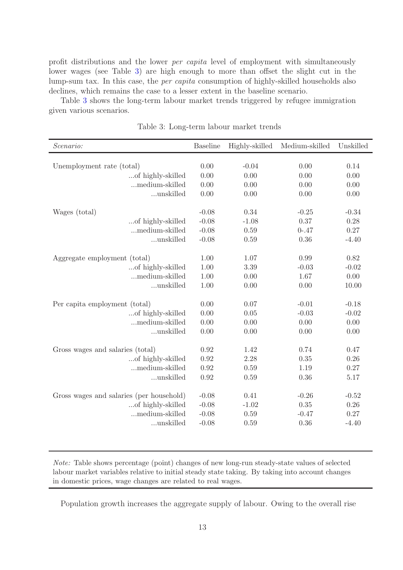profit distributions and the lower per capita level of employment with simultaneously lower wages (see Table [3\)](#page-17-0) are high enough to more than offset the slight cut in the lump-sum tax. In this case, the per capita consumption of highly-skilled households also declines, which remains the case to a lesser extent in the baseline scenario.

Table [3](#page-17-0) shows the long-term labour market trends triggered by refugee immigration given various scenarios.

<span id="page-17-0"></span>

| Scenario:                                | <b>Baseline</b> | Highly-skilled | Medium-skilled | Unskilled |
|------------------------------------------|-----------------|----------------|----------------|-----------|
|                                          |                 |                |                |           |
| Unemployment rate (total)                | 0.00            | $-0.04$        | 0.00           | 0.14      |
| of highly-skilled                        | 0.00            | 0.00           | 0.00           | 0.00      |
| medium-skilled                           | 0.00            | 0.00           | 0.00           | 0.00      |
| unskilled                                | 0.00            | 0.00           | 0.00           | 0.00      |
| Wages (total)                            | $-0.08$         | 0.34           | $-0.25$        | $-0.34$   |
| of highly-skilled                        | $-0.08$         | $-1.08$        | 0.37           | 0.28      |
| medium-skilled                           | $-0.08$         | 0.59           | $0 - 47$       | 0.27      |
| $\dots$ unskilled                        | $-0.08$         | 0.59           | 0.36           | $-4.40$   |
| Aggregate employment (total)             | 1.00            | 1.07           | 0.99           | 0.82      |
| of highly-skilled                        | 1.00            | 3.39           | $-0.03$        | $-0.02$   |
| medium-skilled                           | 1.00            | 0.00           | 1.67           | 0.00      |
| $\dots$ unskilled                        | 1.00            | 0.00           | 0.00           | 10.00     |
| Per capita employment (total)            | 0.00            | 0.07           | $-0.01$        | $-0.18$   |
| of highly-skilled                        | 0.00            | 0.05           | $-0.03$        | $-0.02$   |
| medium-skilled                           | 0.00            | 0.00           | 0.00           | 0.00      |
| $\dots$ unskilled                        | 0.00            | 0.00           | 0.00           | 0.00      |
| Gross wages and salaries (total)         | 0.92            | 1.42           | 0.74           | 0.47      |
| of highly-skilled                        | 0.92            | 2.28           | 0.35           | 0.26      |
| medium-skilled                           | 0.92            | 0.59           | 1.19           | 0.27      |
| unskilled                                | 0.92            | 0.59           | 0.36           | 5.17      |
| Gross wages and salaries (per household) | $-0.08$         | 0.41           | $-0.26$        | $-0.52$   |
| of highly-skilled                        | $-0.08$         | $-1.02$        | 0.35           | 0.26      |
| medium-skilled                           | $-0.08$         | 0.59           | $-0.47$        | 0.27      |
| $\dots$ unskilled                        | $-0.08$         | 0.59           | 0.36           | $-4.40$   |

Table 3: Long-term labour market trends

Note: Table shows percentage (point) changes of new long-run steady-state values of selected labour market variables relative to initial steady state taking. By taking into account changes in domestic prices, wage changes are related to real wages.

Population growth increases the aggregate supply of labour. Owing to the overall rise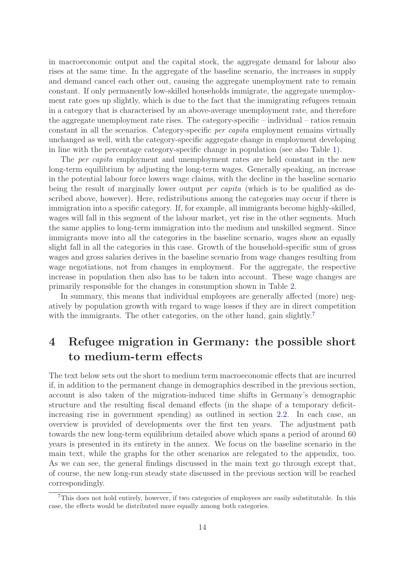in macroeconomic output and the capital stock, the aggregate demand for labour also rises at the same time. In the aggregate of the baseline scenario, the increases in supply and demand cancel each other out, causing the aggregate unemployment rate to remain constant. If only permanently low-skilled households immigrate, the aggregate unemployment rate goes up slightly, which is due to the fact that the immigrating refugees remain in a category that is characterised by an above-average unemployment rate, and therefore the aggregate unemployment rate rises. The category-specific – individual – ratios remain constant in all the scenarios. Category-specific per capita employment remains virtually unchanged as well, with the category-specific aggregate change in employment developing in line with the percentage category-specific change in population (see also Table [1\)](#page-46-0).

The per capita employment and unemployment rates are held constant in the new long-term equilibrium by adjusting the long-term wages. Generally speaking, an increase in the potential labour force lowers wage claims, with the decline in the baseline scenario being the result of marginally lower output *per capita* (which is to be qualified as described above, however). Here, redistributions among the categories may occur if there is immigration into a specific category. If, for example, all immigrants become highly-skilled, wages will fall in this segment of the labour market, yet rise in the other segments. Much the same applies to long-term immigration into the medium and unskilled segment. Since immigrants move into all the categories in the baseline scenario, wages show an equally slight fall in all the categories in this case. Growth of the household-specific sum of gross wages and gross salaries derives in the baseline scenario from wage changes resulting from wage negotiations, not from changes in employment. For the aggregate, the respective increase in population then also has to be taken into account. These wage changes are primarily responsible for the changes in consumption shown in Table [2.](#page-48-0)

In summary, this means that individual employees are generally affected (more) negatively by population growth with regard to wage losses if they are in direct competition with the immigrants. The other categories, on the other hand, gain slightly.<sup>7</sup>

## <span id="page-18-0"></span>4 Refugee migration in Germany: the possible short to medium-term effects

The text below sets out the short to medium term macroeconomic effects that are incurred if, in addition to the permanent change in demographics described in the previous section, account is also taken of the migration-induced time shifts in Germany's demographic structure and the resulting fiscal demand effects (in the shape of a temporary deficitincreasing rise in government spending) as outlined in section [2.2.](#page-11-0) In each case, an overview is provided of developments over the first ten years. The adjustment path towards the new long-term equilibrium detailed above which spans a period of around 60 years is presented in its entirety in the annex. We focus on the baseline scenario in the main text, while the graphs for the other scenarios are relegated to the appendix, too. As we can see, the general findings discussed in the main text go through except that, of course, the new long-run steady state discussed in the previous section will be reached correspondingly.

<sup>7</sup>This does not hold entirely, however, if two categories of employees are easily substitutable. In this case, the effects would be distributed more equally among both categories.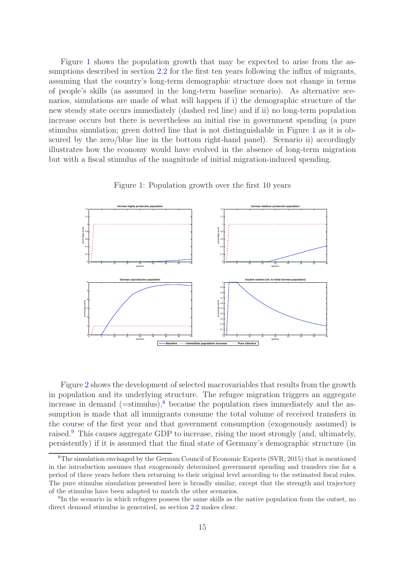Figure [1](#page-19-0) shows the population growth that may be expected to arise from the assumptions described in section [2.2](#page-11-0) for the first ten years following the influx of migrants, assuming that the country's long-term demographic structure does not change in terms of people's skills (as assumed in the long-term baseline scenario). As alternative scenarios, simulations are made of what will happen if i) the demographic structure of the new steady state occurs immediately (dashed red line) and if ii) no long-term population increase occurs but there is nevertheless an initial rise in government spending (a pure stimulus simulation; green dotted line that is not distinguishable in Figure [1](#page-19-0) as it is obscured by the zero/blue line in the bottom right-hand panel). Scenario ii) accordingly illustrates how the economy would have evolved in the absence of long-term migration but with a fiscal stimulus of the magnitude of initial migration-induced spending.

<span id="page-19-0"></span>

Figure 1: Population growth over the first 10 years

Figure [2](#page-21-0) shows the development of selected macrovariables that results from the growth in population and its underlying structure. The refugee migration triggers an aggregate increase in demand  $(=stimulus)$ ,<sup>8</sup> because the population rises immediately and the assumption is made that all immigrants consume the total volume of received transfers in the course of the first year and that government consumption (exogenously assumed) is raised.<sup>9</sup> This causes aggregate GDP to increase, rising the most strongly (and, ultimately, persistently) if it is assumed that the final state of Germany's demographic structure (in

<sup>8</sup>The simulation envisaged by the German Council of Economic Experts (SVR, 2015) that is mentioned in the introduction assumes that exogenously determined government spending and transfers rise for a period of three years before then returning to their original level according to the estimated fiscal rules. The pure stimulus simulation presented here is broadly similar, except that the strength and trajectory of the stimulus have been adapted to match the other scenarios.

<sup>&</sup>lt;sup>9</sup>In the scenario in which refugees possess the same skills as the native population from the outset, no direct demand stimulus is generated, as section [2.2](#page-11-0) makes clear.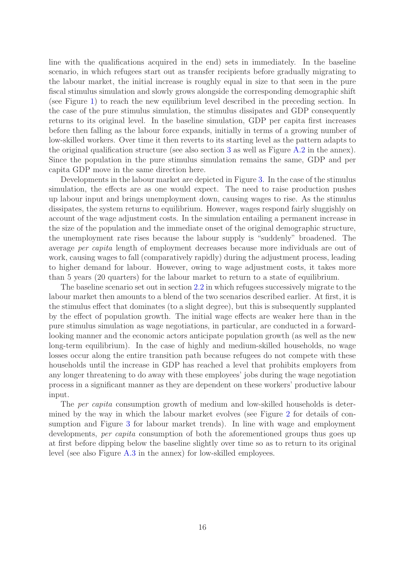line with the qualifications acquired in the end) sets in immediately. In the baseline scenario, in which refugees start out as transfer recipients before gradually migrating to the labour market, the initial increase is roughly equal in size to that seen in the pure fiscal stimulus simulation and slowly grows alongside the corresponding demographic shift (see Figure [1\)](#page-19-0) to reach the new equilibrium level described in the preceding section. In the case of the pure stimulus simulation, the stimulus dissipates and GDP consequently returns to its original level. In the baseline simulation, GDP per capita first increases before then falling as the labour force expands, initially in terms of a growing number of low-skilled workers. Over time it then reverts to its starting level as the pattern adapts to the original qualification structure (see also section [3](#page-13-0) as well as Figure [A.2](#page-25-0) in the annex). Since the population in the pure stimulus simulation remains the same, GDP and per capita GDP move in the same direction here.

Developments in the labour market are depicted in Figure [3.](#page-22-0) In the case of the stimulus simulation, the effects are as one would expect. The need to raise production pushes up labour input and brings unemployment down, causing wages to rise. As the stimulus dissipates, the system returns to equilibrium. However, wages respond fairly sluggishly on account of the wage adjustment costs. In the simulation entailing a permanent increase in the size of the population and the immediate onset of the original demographic structure, the unemployment rate rises because the labour supply is "suddenly" broadened. The average per capita length of employment decreases because more individuals are out of work, causing wages to fall (comparatively rapidly) during the adjustment process, leading to higher demand for labour. However, owing to wage adjustment costs, it takes more than 5 years (20 quarters) for the labour market to return to a state of equilibrium.

The baseline scenario set out in section [2.2](#page-11-0) in which refugees successively migrate to the labour market then amounts to a blend of the two scenarios described earlier. At first, it is the stimulus effect that dominates (to a slight degree), but this is subsequently supplanted by the effect of population growth. The initial wage effects are weaker here than in the pure stimulus simulation as wage negotiations, in particular, are conducted in a forwardlooking manner and the economic actors anticipate population growth (as well as the new long-term equilibrium). In the case of highly and medium-skilled households, no wage losses occur along the entire transition path because refugees do not compete with these households until the increase in GDP has reached a level that prohibits employers from any longer threatening to do away with these employees' jobs during the wage negotiation process in a significant manner as they are dependent on these workers' productive labour input.

The *per capita* consumption growth of medium and low-skilled households is determined by the way in which the labour market evolves (see Figure [2](#page-21-0) for details of consumption and Figure [3](#page-22-0) for labour market trends). In line with wage and employment developments, *per capita* consumption of both the aforementioned groups thus goes up at first before dipping below the baseline slightly over time so as to return to its original level (see also Figure [A.3](#page-26-0) in the annex) for low-skilled employees.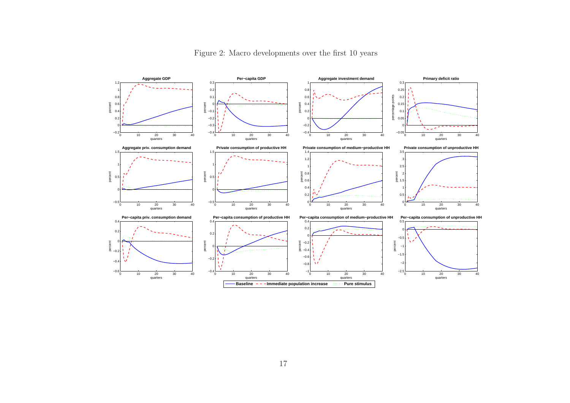

<span id="page-21-0"></span>Figure 2: Macro developments over the first <sup>10</sup> years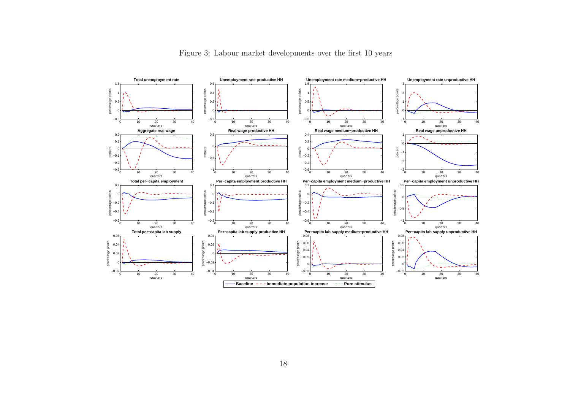

#### <span id="page-22-0"></span>Figure 3: Labour market developments over the first <sup>10</sup> years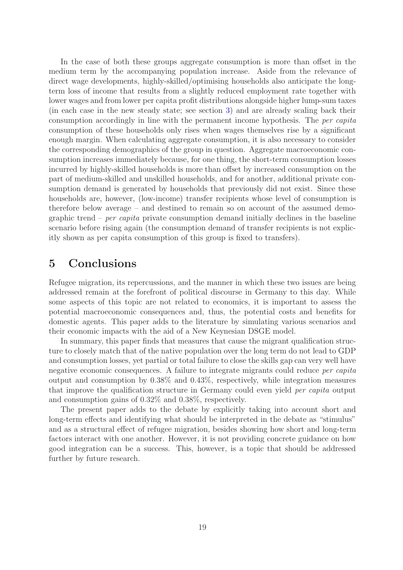In the case of both these groups aggregate consumption is more than offset in the medium term by the accompanying population increase. Aside from the relevance of direct wage developments, highly-skilled/optimising households also anticipate the longterm loss of income that results from a slightly reduced employment rate together with lower wages and from lower per capita profit distributions alongside higher lump-sum taxes (in each case in the new steady state; see section [3\)](#page-13-0) and are already scaling back their consumption accordingly in line with the permanent income hypothesis. The per capita consumption of these households only rises when wages themselves rise by a significant enough margin. When calculating aggregate consumption, it is also necessary to consider the corresponding demographics of the group in question. Aggregate macroeconomic consumption increases immediately because, for one thing, the short-term consumption losses incurred by highly-skilled households is more than offset by increased consumption on the part of medium-skilled and unskilled households, and for another, additional private consumption demand is generated by households that previously did not exist. Since these households are, however, (low-income) transfer recipients whose level of consumption is therefore below average – and destined to remain so on account of the assumed demographic trend – *per capita* private consumption demand initially declines in the baseline scenario before rising again (the consumption demand of transfer recipients is not explicitly shown as per capita consumption of this group is fixed to transfers).

## <span id="page-23-0"></span>5 Conclusions

Refugee migration, its repercussions, and the manner in which these two issues are being addressed remain at the forefront of political discourse in Germany to this day. While some aspects of this topic are not related to economics, it is important to assess the potential macroeconomic consequences and, thus, the potential costs and benefits for domestic agents. This paper adds to the literature by simulating various scenarios and their economic impacts with the aid of a New Keynesian DSGE model.

In summary, this paper finds that measures that cause the migrant qualification structure to closely match that of the native population over the long term do not lead to GDP and consumption losses, yet partial or total failure to close the skills gap can very well have negative economic consequences. A failure to integrate migrants could reduce per capita output and consumption by 0.38% and 0.43%, respectively, while integration measures that improve the qualification structure in Germany could even yield per capita output and consumption gains of 0.32% and 0.38%, respectively.

The present paper adds to the debate by explicitly taking into account short and long-term effects and identifying what should be interpreted in the debate as "stimulus" and as a structural effect of refugee migration, besides showing how short and long-term factors interact with one another. However, it is not providing concrete guidance on how good integration can be a success. This, however, is a topic that should be addressed further by future research.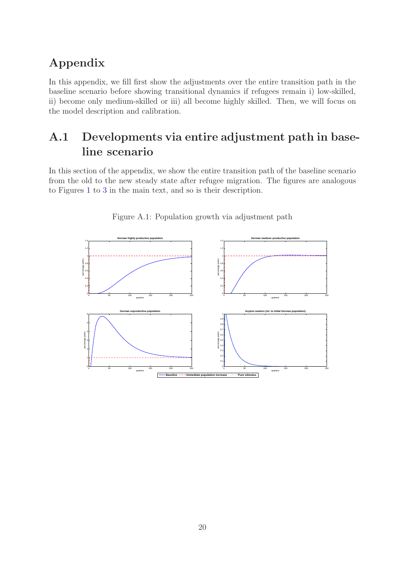# Appendix

In this appendix, we fill first show the adjustments over the entire transition path in the baseline scenario before showing transitional dynamics if refugees remain i) low-skilled, ii) become only medium-skilled or iii) all become highly skilled. Then, we will focus on the model description and calibration.

# A.1 Developments via entire adjustment path in baseline scenario

<span id="page-24-0"></span>In this section of the appendix, we show the entire transition path of the baseline scenario from the old to the new steady state after refugee migration. The figures are analogous to Figures [1](#page-19-0) to [3](#page-22-0) in the main text, and so is their description.



Figure A.1: Population growth via adjustment path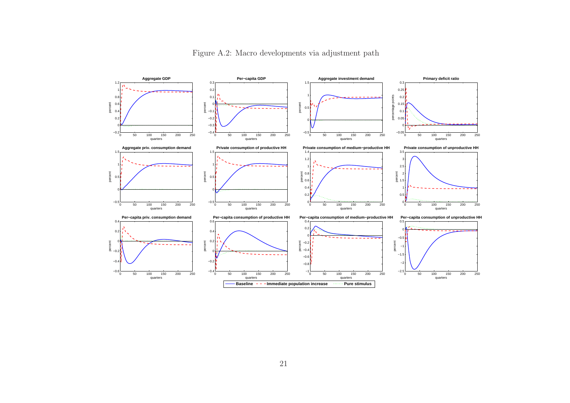

<span id="page-25-0"></span>Figure A.2: Macro developments via adjustment path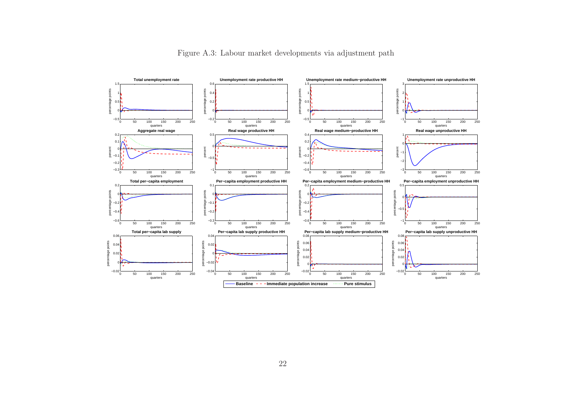

<span id="page-26-0"></span>Figure A.3: Labour market developments via adjustment path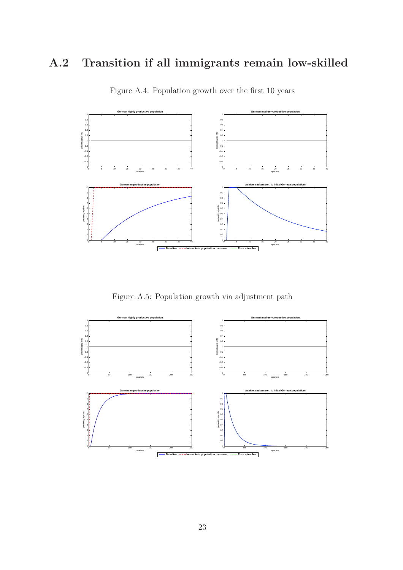# A.2 Transition if all immigrants remain low-skilled



Figure A.4: Population growth over the first 10 years

Figure A.5: Population growth via adjustment path

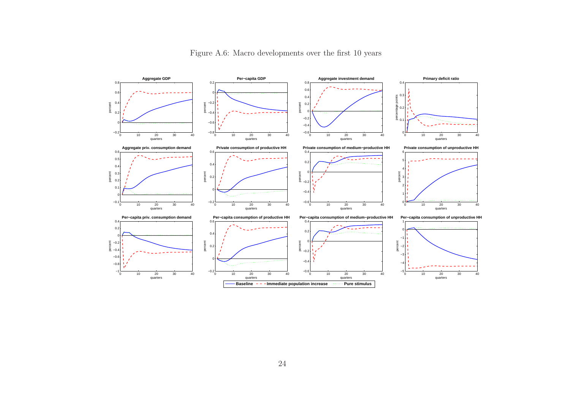

Figure A.6: Macro developments over the first <sup>10</sup> years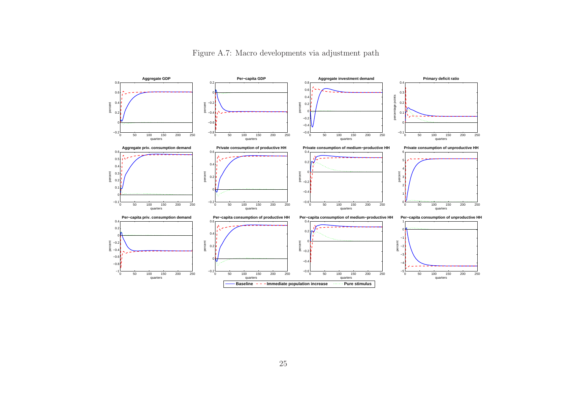

Figure A.7: Macro developments via adjustment path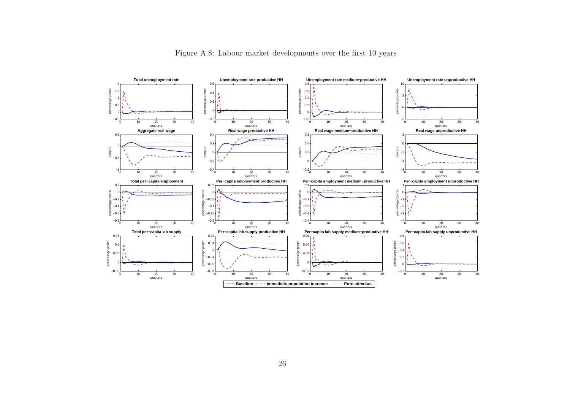

Figure A.8: Labour market developments over the first <sup>10</sup> years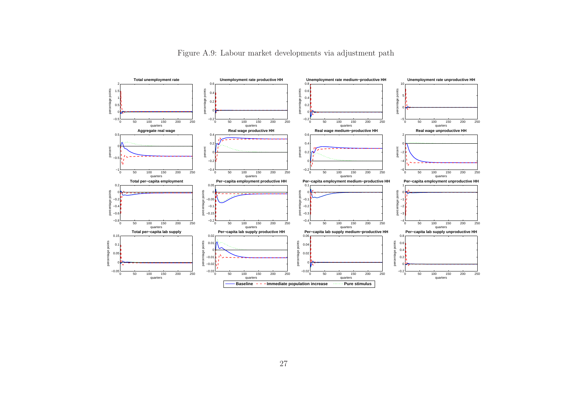

Figure A.9: Labour market developments via adjustment path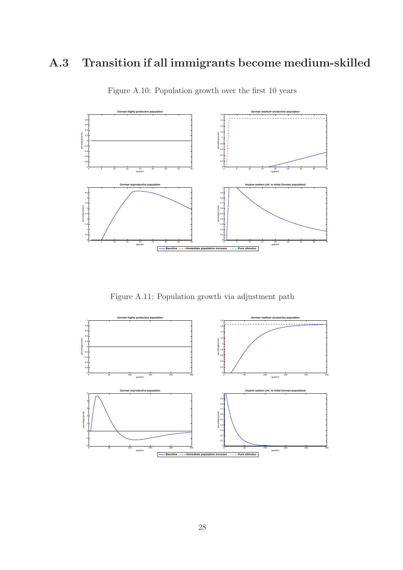# A.3 Transition if all immigrants become medium-skilled



Figure A.10: Population growth over the first 10 years

Figure A.11: Population growth via adjustment path

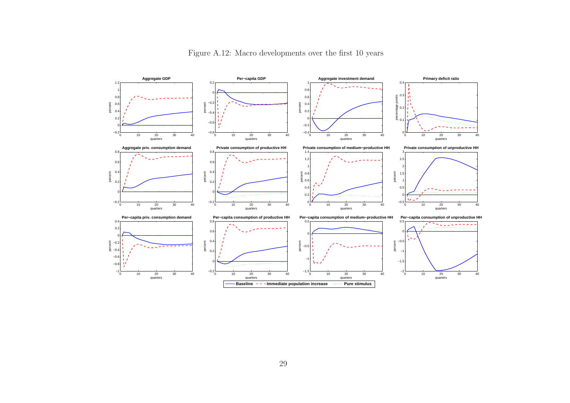

Figure A.12: Macro developments over the first <sup>10</sup> years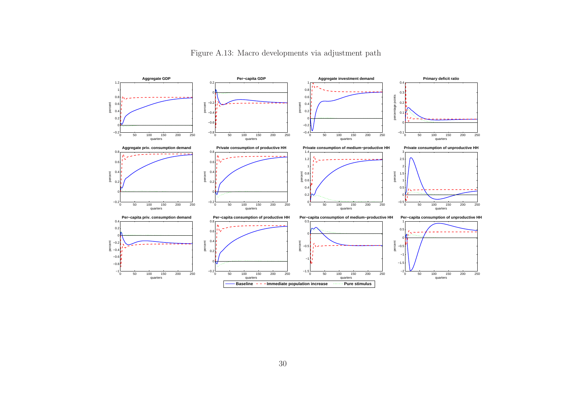

Figure A.13: Macro developments via adjustment path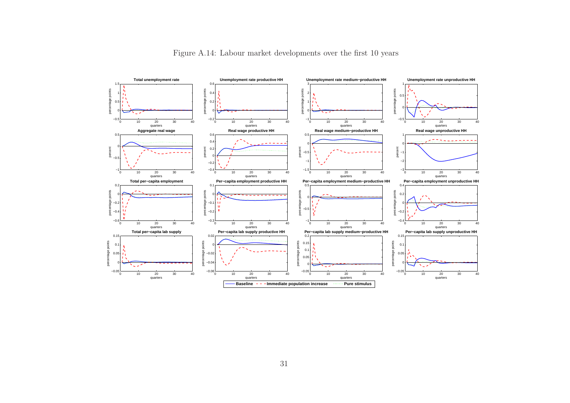

Figure A.14: Labour market developments over the first <sup>10</sup> years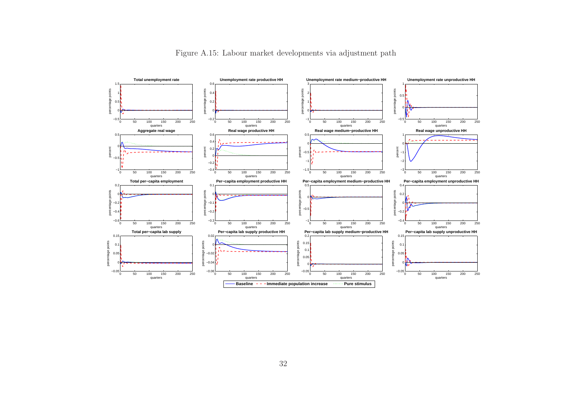

Figure A.15: Labour market developments via adjustment path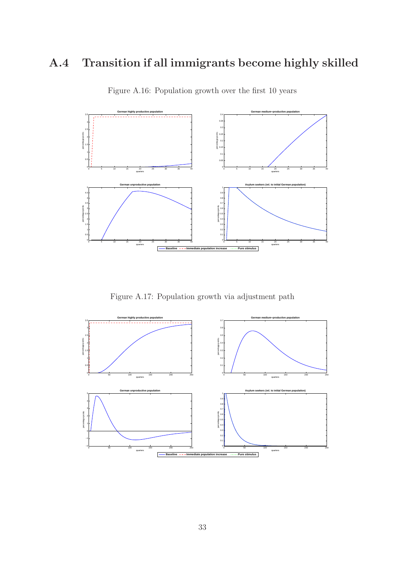# A.4 Transition if all immigrants become highly skilled



Figure A.16: Population growth over the first 10 years

Figure A.17: Population growth via adjustment path

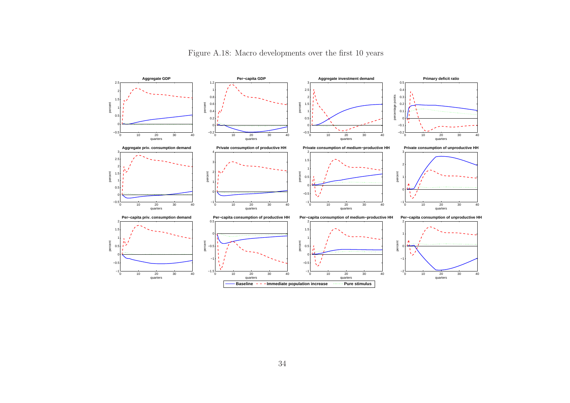

Figure A.18: Macro developments over the first <sup>10</sup> years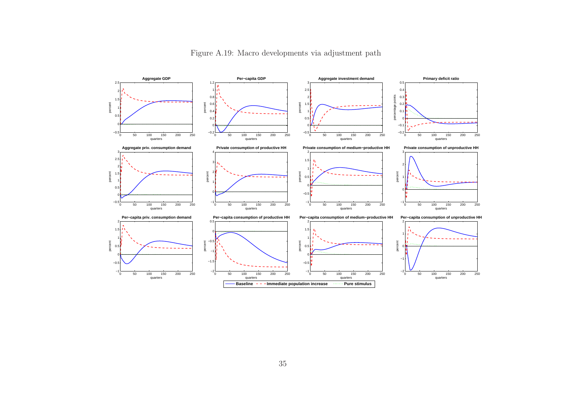

Figure A.19: Macro developments via adjustment path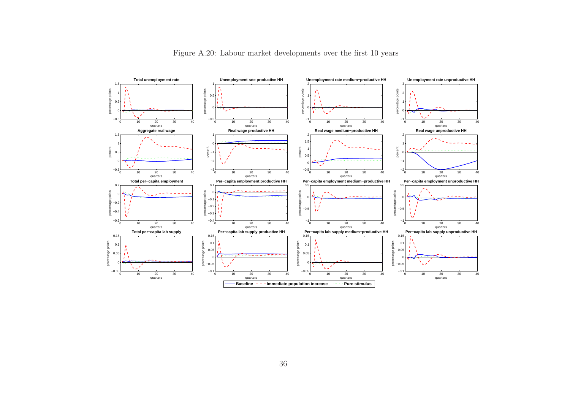

Figure A.20: Labour market developments over the first <sup>10</sup> years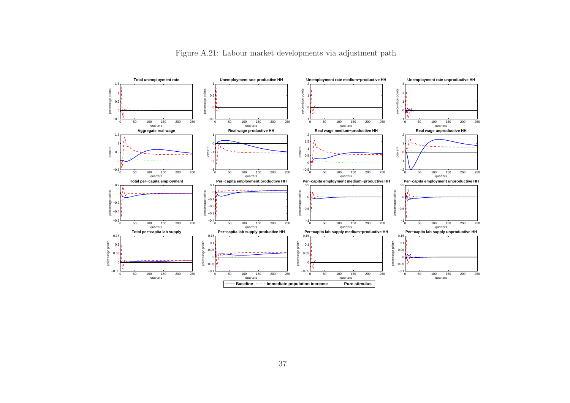

Figure A.21: Labour market developments via adjustment path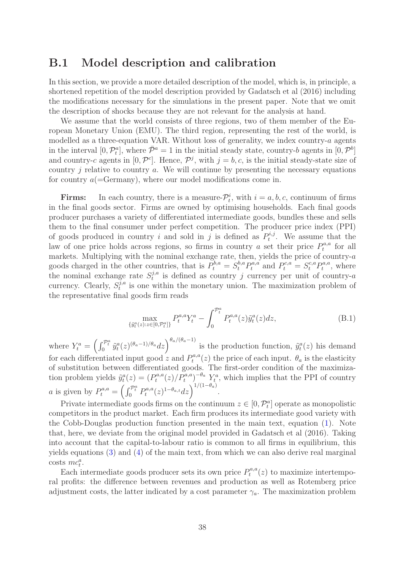### B.1 Model description and calibration

In this section, we provide a more detailed description of the model, which is, in principle, a shortened repetition of the model description provided by Gadatsch et al (2016) including the modifications necessary for the simulations in the present paper. Note that we omit the description of shocks because they are not relevant for the analysis at hand.

We assume that the world consists of three regions, two of them member of the European Monetary Union (EMU). The third region, representing the rest of the world, is modelled as a three-equation VAR. Without loss of generality, we index country-a agents in the interval  $[0, \mathcal{P}_t^a]$ , where  $\bar{\mathcal{P}}^a = 1$  in the initial steady state, country-b agents in  $[0, \mathcal{P}^b]$ and country-c agents in  $[0, \mathcal{P}^c]$ . Hence,  $\mathcal{P}^j$ , with  $j = b, c$ , is the initial steady-state size of country  $j$  relative to country  $a$ . We will continue by presenting the necessary equations for country  $a($ =Germany), where our model modifications come in.

**Firms:** In each country, there is a measure- $\mathcal{P}_t^i$ , with  $i = a, b, c$ , continuum of firms in the final goods sector. Firms are owned by optimising households. Each final goods producer purchases a variety of differentiated intermediate goods, bundles these and sells them to the final consumer under perfect competition. The producer price index (PPI) of goods produced in country i and sold in j is defined as  $P_t^{i,j}$  $t^{i,j}$ . We assume that the law of one price holds across regions, so firms in country a set their price  $P_t^{a,a}$  $t^{a,a}$  for all markets. Multiplying with the nominal exchange rate, then, yields the price of country- $a$ goods charged in the other countries, that is  $P_t^{b,a} = S_t^{b,a} P_t^{a,a}$  and  $P_t^{c,a} = S_t^{c,a} P_t^{a,a}$  $t^{a,a}$ , where the nominal exchange rate  $S_t^{j,a}$  $t_i^{j,a}$  is defined as country j currency per unit of country-a currency. Clearly,  $S_t^{j,a}$  $t_t^{j,a}$  is one within the monetary union. The maximization problem of the representative final goods firm reads

$$
\max_{\{\tilde{y}_t^a(z):z\in[0,\mathcal{P}_t^a]\}} P_t^{a,a} Y_t^a - \int_0^{\mathcal{P}_t^a} P_t^{a,a}(z)\tilde{y}_t^a(z)dz,\tag{B.1}
$$

where  $Y_t^a = \left(\int_0^{p_t^a} \tilde{y}_t^a(z)^{(\theta_a-1)/\theta_a} dz\right)^{\theta_a/(\theta_a-1)}$  is the production function,  $\tilde{y}_t^a(z)$  his demand for each differentiated input good z and  $P_t^{a,a}$  $t^{a,a}(z)$  the price of each input.  $\theta_a$  is the elasticity of substitution between differentiated goods. The first-order condition of the maximization problem yields  $\tilde{y}_t^a(z) = (P_t^{a,a})$  $\int_t^{a,a}(z)/P_t^{a,a})^{-\theta_a} Y_t^a$ , which implies that the PPI of country *a* is given by  $P_t^{a,a} = \left(\int_0^{\mathcal{P}_t^a} P_t^{a,a}\right)$  $t^{a,a}(z)^{1-\theta_{a,t}}dz\Big)^{1/(1-\theta_{a})}.$ 

Private intermediate goods firms on the continuum  $z \in [0, \mathcal{P}_t^a]$  operate as monopolistic competitors in the product market. Each firm produces its intermediate good variety with the Cobb-Douglas production function presented in the main text, equation [\(1\)](#page-9-0). Note that, here, we deviate from the original model provided in Gadatsch et al (2016). Taking into account that the capital-to-labour ratio is common to all firms in equilibrium, this yields equations [\(3\)](#page-10-0) and [\(4\)](#page-10-1) of the main text, from which we can also derive real marginal  $\cos\theta$   $mc_t^a$ .

Each intermediate goods producer sets its own price  $P_t^{a,a}$  $t^{a,a}(z)$  to maximize intertemporal profits: the difference between revenues and production as well as Rotemberg price adjustment costs, the latter indicated by a cost parameter  $\gamma_a$ . The maximization problem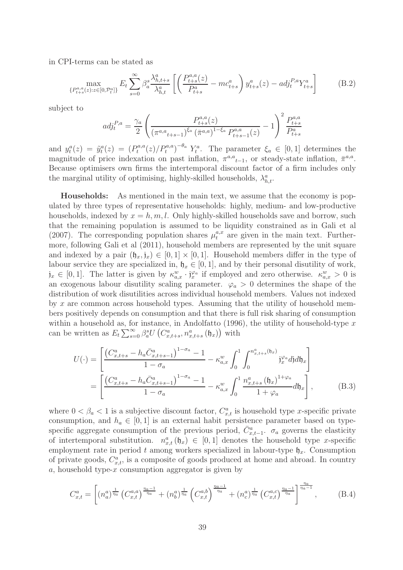in CPI-terms can be stated as

$$
\max_{\{P_{t+s}^{a,a}(z):z\in[0,\mathcal{P}_t^a]\}} E_t \sum_{s=0}^{\infty} \beta_s^s \frac{\lambda_{h,t+s}^a}{\lambda_{h,t}^a} \left[ \left( \frac{P_{t+s}^{a,a}(z)}{P_{t+s}^a} - mc_{t+s}^a \right) y_{t+s}^a(z) - adj_t^{P,a} Y_{t+s}^a \right] \right]
$$
(B.2)

subject to

$$
adj_{t}^{P,a} = \frac{\gamma_{a}}{2} \left( \frac{P_{t+s}^{a,a}(z)}{\left(\pi^{a,a}{}_{t+s-1}\right)^{\xi_{a}} \left(\pi^{a,a}\right)^{1-\xi_{a}} P_{t+s-1}^{a,a}(z)} - 1 \right)^{2} \frac{P_{t+s}^{a,a}}{P_{t+s}^{a}}
$$

and  $y_t^a(z) = \tilde{y}_t^a(z) = (P_t^{a,a})$  $(t_t^{a,a}(z)/P_t^{a,a})^{-\theta_a} Y_t^a$ . The parameter  $\xi_a \in [0,1]$  determines the magnitude of price indexation on past inflation,  $\pi^{a,a}{}_{t-1}$ , or steady-state inflation,  $\bar{\pi}^{a,a}$ . Because optimisers own firms the intertemporal discount factor of a firm includes only the marginal utility of optimising, highly-skilled households,  $\lambda_{h,t}^a$ .

Households: As mentioned in the main text, we assume that the economy is populated by three types of representative households: highly, medium- and low-productive households, indexed by  $x = h, m, l$ . Only highly-skilled households save and borrow, such that the remaining population is assumed to be liquidity constrained as in Gali et al (2007). The corresponding population shares  $\mu_t^{a,x}$  are given in the main text. Furthermore, following Gali et al (2011), household members are represented by the unit square and indexed by a pair  $(\mathfrak{h}_x, \mathfrak{j}_x) \in [0,1] \times [0,1]$ . Household members differ in the type of labour service they are specialized in,  $\mathfrak{h}_x \in [0,1]$ , and by their personal disutility of work,  $j_x \in [0,1]$ . The latter is given by  $\kappa_{a,x}^w \cdot j_x^{\varphi_a}$  if employed and zero otherwise.  $\kappa_{a,x}^w > 0$  is an exogenous labour disutility scaling parameter.  $\varphi_a > 0$  determines the shape of the distribution of work disutilities across individual household members. Values not indexed by x are common across household types. Assuming that the utility of household members positively depends on consumption and that there is full risk sharing of consumption within a household as, for instance, in Andolfatto  $(1996)$ , the utility of household-type x can be written as  $E_t \sum_{s=0}^{\infty} \beta_a^s U(C_{x,t+s}^a, n_{x,t+s}^a(\mathfrak{h}_x))$  with

$$
U(\cdot) = \left[ \frac{\left(C_{x,t+s}^{a} - h_a \bar{C}_{x,t+s-1}^{a}\right)^{1-\sigma_a} - 1}{1-\sigma_a} - \kappa_{a,x}^w \int_0^1 \int_0^{n_{x,t+s}^a(\mathfrak{h}_x)} j_x^{\varphi_a} d\mathfrak{j} d\mathfrak{h}_x \right]
$$
  
= 
$$
\left[ \frac{\left(C_{x,t+s}^{a} - h_a \bar{C}_{x,t+s-1}^{a}\right)^{1-\sigma_a} - 1}{1-\sigma_a} - \kappa_{a,x}^w \int_0^1 \frac{n_{x,t+s}^a(\mathfrak{h}_x)^{1+\varphi_a}}{1+\varphi_a} d\mathfrak{h}_x \right],
$$
(B.3)

where  $0 < \beta_a < 1$  is a subjective discount factor,  $C_{x,t}^a$  is household type x-specific private consumption, and  $h_a \in [0,1]$  is an external habit persistence parameter based on typespecific aggregate consumption of the previous period,  $\bar{C}_{x,t-1}^a$ .  $\sigma_a$  governs the elasticity of intertemporal substitution.  $n_{x,t}^a(\mathfrak{h}_x) \in [0,1]$  denotes the household type x-specific employment rate in period t among workers specialized in labour-type  $\mathfrak{h}_x$ . Consumption of private goods,  $C_{x,t}^a$ , is a composite of goods produced at home and abroad. In country a, household type- $x$  consumption aggregator is given by

<span id="page-43-0"></span>
$$
C_{x,t}^{a} = \left[ \left( n_a^a \right)^{\frac{1}{\eta_a}} \left( C_{x,t}^{a,a} \right)^{\frac{\eta_a-1}{\eta_a}} + \left( n_b^a \right)^{\frac{1}{\eta_a}} \left( C_{x,t}^{a,b} \right)^{\frac{\eta_a-1}{\eta_a}} + \left( n_c^a \right)^{\frac{1}{\eta_a}} \left( C_{x,t}^{a,c} \right)^{\frac{\eta_a-1}{\eta_a}} \right]^{\frac{\eta_a}{\eta_a-1}}, \tag{B.4}
$$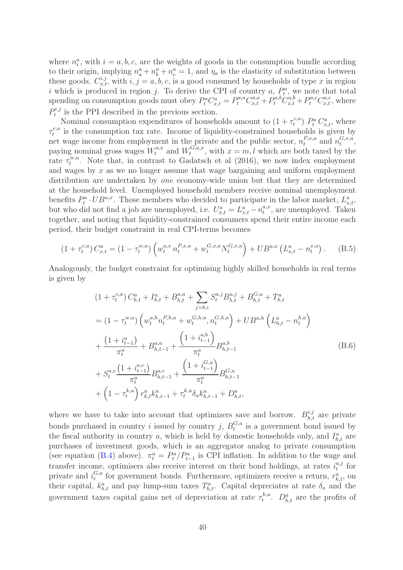where  $n_i^a$ , with  $i = a, b, c$ , are the weights of goods in the consumption bundle according to their origin, implying  $n_a^a + n_b^a + n_c^a = 1$ , and  $\eta_a$  is the elasticity of substitution between these goods.  $C_{x,t}^{i,j}$ , with  $i, j = a, b, c$ , is a good consumed by households of type x in region i which is produced in region j. To derive the CPI of country a,  $P_t^a$ , we note that total spending on consumption goods must obey  $P_t^a C_{x,t}^a = P_t^{a,a} C_{x,t}^{a,a} + P_t^{a,b} C_{x,t}^{a,b} + P_t^{a,c} C_{x,t}^{a,c}$ , where  $P_t^{i,j}$  $t^{i,j}$  is the PPI described in the previous section.

Nominal consumption expenditures of households amount to  $(1 + \tau_t^{c,a})$  $P_t^{a} C_{x,t}^{a}$ , where  $\tau_t^{c,a}$  $t^{c,a}$  is the consumption tax rate. Income of liquidity-constrained households is given by net wage income from employment in the private and the public sector,  $n_t^{P,x,a}$  and  $n_t^{G,x,a}$  $\mathbf{G},x,a$ ,<br>t paying nominal gross wages  $W_t^{a,x}$  and  $W_t^{G,a,x}$  $t^{G,a,x}$ , with  $x = m, l$  which are both taxed by the rate  $\tau_t^{w,a}$  $t^{w,a}$ . Note that, in contrast to Gadatsch et al (2016), we now index employment and wages by  $x$  as we no longer assume that wage bargaining and uniform employment distribution are undertaken by *one* economy-wide union but that they are determined at the household level. Unemployed household members receive nominal unemployment benefits  $P_t^a \cdot UB^{a,x}$ . Those members who decided to participate in the labor market,  $L_{x,t}^a$ , but who did not find a job are unemployed, i.e.  $U_{x,t}^a = L_{x,t}^a - n_t^{a,x}$  $t^{a,x}$ , are unemployed. Taken together, and noting that liquidity-constrained consumers spend their entire income each period, their budget constraint in real CPI-terms becomes

$$
(1 + \tau_t^{c,a}) C_{x,t}^a = (1 - \tau_t^{w,a}) \left( w_t^{a,x} n_t^{P,x,a} + w_t^{G,x,a} N_t^{G,x,a} \right) + U B^{a,x} \left( L_{x,t}^a - n_t^{x,a} \right). \tag{B.5}
$$

Analogously, the budget constraint for optimising highly skilled households in real terms is given by

$$
(1 + \tau_t^{c,a}) C_{h,t}^a + I_{h,t}^a + B_{h,t}^{a,a} + \sum_{j=b,c} S_t^{a,j} B_{h,t}^{a,j} + B_{h,t}^{G,a} + T_{h,t}^a
$$
  
\n
$$
= (1 - \tau_t^{w,a}) \left( w_t^{a,h} n_t^{P,h,a} + w_t^{G,h,a}, n_t^{G,h,a} \right) + UB^{a,h} \left( L_{h,t}^a - n_t^{h,a} \right)
$$
  
\n
$$
+ \frac{(1 + i_{t-1}^a)}{\pi_t^a} + B_{h,t-1}^{a,a} + \frac{\left( 1 + i_{t-1}^{a,b} \right)}{\pi_t^a} B_{h,t-1}^{a,b}
$$
  
\n
$$
+ S_t^{a,c} \frac{\left( 1 + i_{t-1}^{a,c} \right)}{\pi_t^a} B_{h,t-1}^{a,c} + \frac{\left( 1 + i_{t-1}^{G,a} \right)}{\pi_t^a} B_{h,t-1}^{G,a}
$$
  
\n
$$
+ \left( 1 - \tau_t^{k,a} \right) r_{k,t}^a k_{h,t-1}^a + \tau_t^{k,a} \delta_a k_{h,t-1}^a + D_{h,t}^a,
$$
  
\n(B.6)

where we have to take into account that optimizers save and borrow.  $B_{h,t}^{i,j}$  are private bonds purchased in country *i* issued by country *j*,  $B_t^{G,a}$  $t_t^{\alpha,a}$  is a government bond issued by the fiscal authority in country a, which is held by domestic households only, and  $I_{h,t}^a$  are purchases of investment goods, which is an aggregator analog to private consumption (see equation [\(B.4\)](#page-43-0) above).  $\pi_t^a = P_t^a / P_{t-1}^a$  is CPI inflation. In addition to the wage and transfer income, optimisers also receive interest on their bond holdings, at rates  $i_t^{a,j}$  $\int_t^{a,j}$  for private and  $i_t^{G,a}$  $t^{G,a}_t$  for government bonds. Furthermore, optimizers receive a return,  $r^a_{k,t}$ , on their capital,  $k_{h,t}^a$  and pay lump-sum taxes  $T_{h,t}^a$ . Capital depreciates at rate  $\delta_a$  and the government taxes capital gains net of depreciation at rate  $\tau_t^{k,a}$  $L_t^{k,a}$ .  $D_{h,t}^a$  are the profits of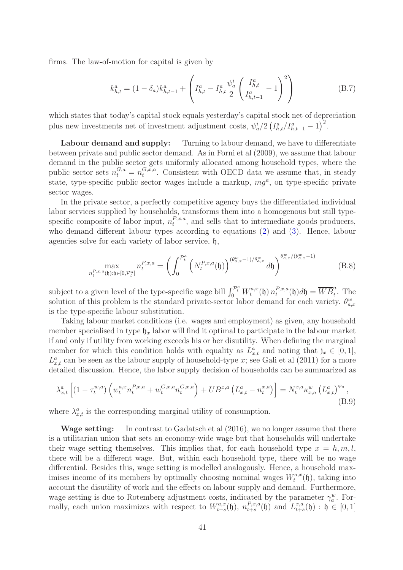firms. The law-of-motion for capital is given by

$$
k_{h,t}^{a} = (1 - \delta_a)k_{h,t-1}^{a} + \left(I_{h,t}^{a} - I_{h,t}^{a} \frac{\psi_a^i}{2} \left(\frac{I_{h,t}^{a}}{I_{h,t-1}^{a}} - 1\right)^2\right)
$$
(B.7)

which states that today's capital stock equals yesterday's capital stock net of depreciation plus new investments net of investment adjustment costs,  $\psi_a^i/2 \left(I_{h,t}^a/I_{h,t-1}^a - 1\right)^2$ .

Labour demand and supply: Turning to labour demand, we have to differentiate between private and public sector demand. As in Forni et al (2009), we assume that labour demand in the public sector gets uniformly allocated among household types, where the public sector sets  $n_t^{G,a} = n_t^{G,x,a}$  $t^{G,x,a}$ . Consistent with OECD data we assume that, in steady state, type-specific public sector wages include a markup,  $mg<sup>a</sup>$ , on type-specific private sector wages.

In the private sector, a perfectly competitive agency buys the differentiated individual labor services supplied by households, transforms them into a homogenous but still typespecific composite of labor input,  $n_t^{P,x,a}$  $t^{P,x,a}$ , and sells that to intermediate goods producers, who demand different labour types according to equations [\(2\)](#page-10-2) and [\(3\)](#page-10-0). Hence, labour agencies solve for each variety of labor service, h,

<span id="page-45-1"></span><span id="page-45-0"></span>
$$
\max_{n_t^{P,x,a}(\mathfrak{h}):\mathfrak{h}\in[0,\mathcal{P}_t^a]} n_t^{P,x,a} = \left(\int_0^{\mathcal{P}_t^a} \left(N_t^{P,x,a}(\mathfrak{h})\right)^{(\theta_{a,x}^w-1)/\theta_{a,x}^w} d\mathfrak{h}\right)^{\theta_{a,x}^w/(\theta_{a,x}^w-1)}
$$
(B.8)

subject to a given level of the type-specific wage bill  $\int_0^{\mathcal{P}_t^a} W_t^{a,x}$  $\int_t^{a,x}(\mathfrak{h})\,n_t^{P,x,a}$  $t_t^{P,x,a}(\mathfrak{h})d\mathfrak{h}=\overline{WB}_t^a$ . The solution of this problem is the standard private-sector labor demand for each variety.  $\theta_{a,x}^w$ is the type-specific labour substitution.

Taking labour market conditions (i.e. wages and employment) as given, any household member specialised in type  $\mathfrak{h}_x$  labor will find it optimal to participate in the labour market if and only if utility from working exceeds his or her disutility. When defining the marginal member for which this condition holds with equality as  $L_{x,t}^a$  and noting that  $j_x \in [0,1]$ ,  $L_{x,t}^a$  can be seen as the labour supply of household-type x; see Gali et al (2011) for a more detailed discussion. Hence, the labor supply decision of households can be summarized as

$$
\lambda_{x,t}^{a} \left[ (1 - \tau_t^{w,a}) \left( w_t^{a,x} n_t^{P,x,a} + w_t^{G,x,a} n_t^{G,x,a} \right) + U B^{x,a} \left( L_{x,t}^a - n_t^{x,a} \right) \right] = N_t^{x,a} \kappa_{x,a}^w \left( L_{x,t}^a \right)^{\varphi_a},
$$
\n(B.9)

where  $\lambda_{x,t}^a$  is the corresponding marginal utility of consumption.

Wage setting: In contrast to Gadatsch et al (2016), we no longer assume that there is a utilitarian union that sets an economy-wide wage but that households will undertake their wage setting themselves. This implies that, for each household type  $x = h, m, l$ , there will be a different wage. But, within each household type, there will be no wage differential. Besides this, wage setting is modelled analogously. Hence, a household maximises income of its members by optimally choosing nominal wages  $W_t^{a,x}$  $t^{a,x}(\mathfrak{h}),$  taking into account the disutility of work and the effects on labour supply and demand. Furthermore, wage setting is due to Rotemberg adjustment costs, indicated by the parameter  $\gamma_a^w$ . Formally, each union maximizes with respect to  $W_{t+s}^{a,x}$  $t_{t+s}^{a,x}(\mathfrak{h}), \; n_{t+s}^{P,x,a}$  $t_{t+s}^{P,x,a}(\mathfrak{h})$  and  $L_{t+s}^{x,a}$  $_{t+s}^{x,a}(\mathfrak{h}) : \mathfrak{h} \in [0,1]$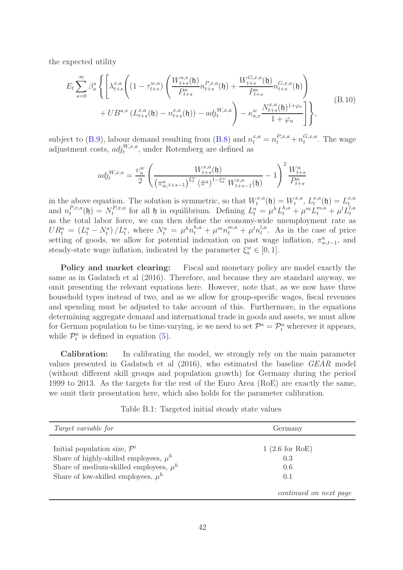the expected utility

$$
E_{t} \sum_{s=0}^{\infty} \beta_{a}^{s} \left\{ \left[ \lambda_{t+s}^{x,a} \left( (1 - \tau_{t+s}^{w,a}) \left( \frac{W_{t+s}^{a,x}( \mathfrak{h})}{P_{t+s}^{a}} n_{t+s}^{P,x,a}( \mathfrak{h}) + \frac{W_{t+s}^{G,x,a}( \mathfrak{h})}{P_{t+s}^{a}} n_{t+s}^{G,x,a}( \mathfrak{h}) \right) \right. \right. \\ \left. + U B^{a,x} \left( L_{t+s}^{x,a}( \mathfrak{h}) - n_{t+s}^{x,a}( \mathfrak{h}) \right) - a d j_{t}^{W,x,a} \right\} - \kappa_{a,x}^{w} \frac{N_{t+s}^{x,a}( \mathfrak{h})^{1+\varphi_{a}}}{1+\varphi_{a}} \right] \bigg\}, \tag{B.10}
$$

subject to [\(B.9\)](#page-45-0), labour demand resulting from [\(B.8\)](#page-45-1) and  $n_t^{x,a} = n_t^{P,x,a} + n_t^{G,x,a}$  $t^{G,x,a}$ . The wage adjustment costs,  $adj_t^{W,x,a}$ , under Rotemberg are defined as

$$
adj_{t}^{W,x,a} = \frac{\upsilon_{a}^{w}}{2} \left( \frac{W_{t+s}^{x,a}(\mathfrak{h})}{\left(\pi_{w,t+s-1}^{a}\right)^{\xi_{a}^{w}} (\bar{\pi}^{a})^{1-\xi_{a}^{w}} W_{t+s-1}^{x,a}(\mathfrak{h})} - 1 \right)^{2} \frac{W_{t+s}^{a}}{P_{t+s}^{a}}
$$

in the above equation. The solution is symmetric, so that  $W_t^{x,a}$  $t^{x,a}_t(\mathfrak{h})=W^{x,a}_t$  $t^{x,a}, L_t^{x,a}$  $\mathcal{L}_t^{x,a}(\mathfrak{h})=L_t^{x,a}$ t and  $n_t^{P,x,a}$  $t^{P,x,a}(\mathfrak{h})=N_t^{P,x,a}$  $t^{P,x,a}$  for all  $\mathfrak h$  in equilibrium. Defining  $L_t^a = \mu^h L_t^{h,a} + \mu^m L_t^{m,a} + \mu^l L_t^{l,a}$ t as the total labor force, we can then define the economy-wide unemployment rate as  $UR_t^a = (L_t^a - N_t^a)/L_t^a$ , where  $N_t^a = \mu^h n_t^{h,a} + \mu^m n_t^{m,a} + \mu^l n_t^{l,a}$  $t_t^{i,a}$ . As in the case of price setting of goods, we allow for potential indexation on past wage inflation,  $\pi_{w,t-1}^a$ , and steady-state wage inflation, indicated by the parameter  $\xi_a^w \in [0, 1]$ .

Policy and market clearing: Fiscal and monetary policy are model exactly the same as in Gadatsch et al (2016). Therefore, and because they are standard anyway, we omit presenting the relevant equations here. However, note that, as we now have three household types instead of two, and as we allow for group-specific wages, fiscal revenues and spending must be adjusted to take account of this. Furthermore, in the equations determining aggregate demand and international trade in goods and assets, we must allow for German population to be time-varying, ie we need to set  $\mathcal{P}^a = \mathcal{P}^a_t$  wherever it appears, while  $\mathcal{P}_t^a$  is defined in equation [\(5\)](#page-10-3).

Calibration: In calibrating the model, we strongly rely on the main parameter values presented in Gadatsch et al (2016), who estimated the baseline GEAR model (without different skill groups and population growth) for Germany during the period 1999 to 2013. As the targets for the rest of the Euro Area (RoE) are exactly the same, we omit their presentation here, which also holds for the parameter calibration.

Table B.1: Targeted initial steady state values

<span id="page-46-0"></span>

| <i>Target variable for</i>                                                                                                                                                      | Germany                               |
|---------------------------------------------------------------------------------------------------------------------------------------------------------------------------------|---------------------------------------|
| Initial population size, $\mathcal{P}^i$<br>Share of highly-skilled employees, $\mu^h$<br>Share of medium-skilled employees, $\mu^h$<br>Share of low-skilled employees, $\mu^h$ | $1(2.6$ for RoE)<br>0.3<br>0.6<br>0.1 |
|                                                                                                                                                                                 | continued on next page                |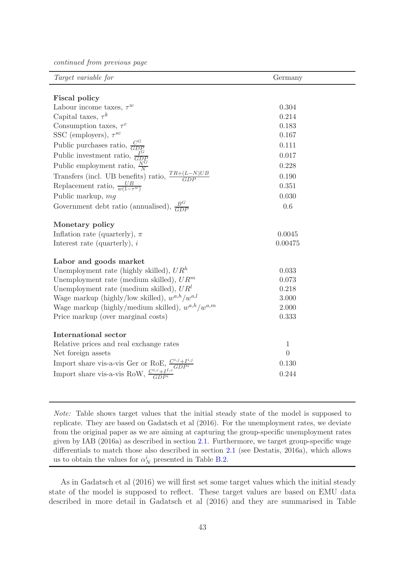continued from previous page

| Target variable for                                                | Germany        |  |
|--------------------------------------------------------------------|----------------|--|
|                                                                    |                |  |
| <b>Fiscal policy</b>                                               |                |  |
| Labour income taxes, $\tau^w$                                      | 0.304          |  |
| Capital taxes, $\tau^k$                                            | 0.214          |  |
| Consumption taxes, $\tau^c$                                        | 0.183          |  |
| SSC (employers), $\tau^{sc}$                                       | 0.167          |  |
| Public purchases ratio, $\frac{C^G}{GDP}$                          | 0.111          |  |
| Public investment ratio, $\frac{I^G}{GDP}$                         | 0.017          |  |
| Public employment ratio, $\frac{N^G}{N}$                           | 0.228          |  |
| Transfers (incl. UB benefits) ratio, $\frac{TR+(L-N)UB}{GDP}$      | 0.190          |  |
| Replacement ratio, $\frac{UB}{w(1-\tau^w)}$                        | 0.351          |  |
| Public markup, mg                                                  | 0.030          |  |
| Government debt ratio (annualised), $\frac{B^G}{GDP}$              | 0.6            |  |
|                                                                    |                |  |
| Monetary policy                                                    |                |  |
| Inflation rate (quarterly), $\pi$                                  | 0.0045         |  |
| Interest rate (quarterly), $i$                                     | 0.00475        |  |
| Labor and goods market                                             |                |  |
| Unemployment rate (highly skilled), $UR^{h}$                       | 0.033          |  |
| Unemployment rate (medium skilled), $UR^m$                         | 0.073          |  |
| Unemployment rate (medium skilled), $URl$                          | 0.218          |  |
| Wage markup (highly/low skilled), $w^{a,h}/w^{a,l}$                | 3.000          |  |
| Wage markup (highly/medium skilled), $w^{a,h}/w^{a,m}$             | 2.000          |  |
| Price markup (over marginal costs)                                 | 0.333          |  |
| <b>International sector</b>                                        |                |  |
| Relative prices and real exchange rates                            | 1              |  |
| Net foreign assets                                                 | $\overline{0}$ |  |
|                                                                    | 0.130          |  |
| Import share vis-a-vis Ger or RoE, $\frac{C^{i,j}+I^{i,j}}{GDP^i}$ |                |  |
| Import share vis-a-vis RoW, $\frac{C^{i,c} + I^{I,c}}{GDP^i}$      | 0.244          |  |
|                                                                    |                |  |

Note: Table shows target values that the initial steady state of the model is supposed to replicate. They are based on Gadatsch et al (2016). For the unemployment rates, we deviate from the original paper as we are aiming at capturing the group-specific unemployment rates given by IAB (2016a) as described in section [2.1.](#page-7-1) Furthermore, we target group-specific wage differentials to match those also described in section [2.1](#page-7-1) (see Destatis, 2016a), which allows us to obtain the values for  $\alpha_N^i$  presented in Table [B.2.](#page-48-0)

As in Gadatsch et al (2016) we will first set some target values which the initial steady state of the model is supposed to reflect. These target values are based on EMU data described in more detail in Gadatsch et al (2016) and they are summarised in Table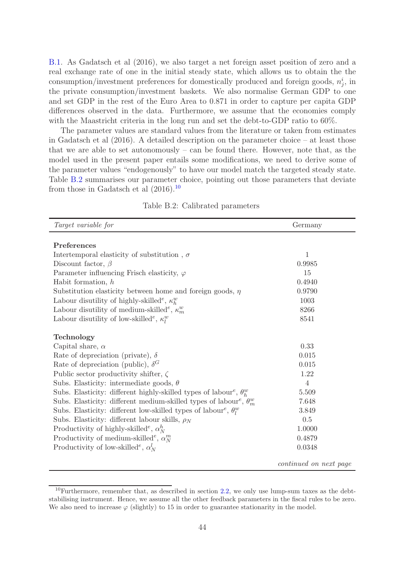[B.1.](#page-46-0) As Gadatsch et al (2016), we also target a net foreign asset position of zero and a real exchange rate of one in the initial steady state, which allows us to obtain the the consumption/investment preferences for domestically produced and foreign goods,  $n_j^i$ , in the private consumption/investment baskets. We also normalise German GDP to one and set GDP in the rest of the Euro Area to 0.871 in order to capture per capita GDP differences observed in the data. Furthermore, we assume that the economies comply with the Maastricht criteria in the long run and set the debt-to-GDP ratio to 60%.

The parameter values are standard values from the literature or taken from estimates in Gadatsch et al (2016). A detailed description on the parameter choice – at least those that we are able to set autonomously – can be found there. However, note that, as the model used in the present paper entails some modifications, we need to derive some of the parameter values "endogenously" to have our model match the targeted steady state. Table [B.2](#page-48-0) summarises our parameter choice, pointing out those parameters that deviate from those in Gadatsch et al  $(2016).^{10}$ 

<span id="page-48-0"></span>

| Target variable for                                                                    | Germany                |
|----------------------------------------------------------------------------------------|------------------------|
|                                                                                        |                        |
| Preferences                                                                            |                        |
| Intertemporal elasticity of substitution, $\sigma$                                     | 1                      |
| Discount factor, $\beta$                                                               | 0.9985                 |
| Parameter influencing Frisch elasticity, $\varphi$                                     | 15                     |
| Habit formation, $h$                                                                   | 0.4940                 |
| Substitution elasticity between home and foreign goods, $\eta$                         | 0.9790                 |
| Labour disutility of highly-skilled <sup>e</sup> , $\kappa_h^w$                        | 1003                   |
| Labour disutility of medium-skilled <sup>e</sup> , $\kappa_m^w$                        | 8266                   |
| Labour disutility of low-skilled <sup>e</sup> , $\kappa_l^w$                           | 8541                   |
| Technology                                                                             |                        |
| Capital share, $\alpha$                                                                | 0.33                   |
| Rate of depreciation (private), $\delta$                                               | 0.015                  |
| Rate of depreciation (public), $\delta^G$                                              | 0.015                  |
| Public sector productivity shifter, $\zeta$                                            | 1.22                   |
| Subs. Elasticity: intermediate goods, $\theta$                                         | $\overline{4}$         |
| Subs. Elasticity: different highly-skilled types of labour <sup>e</sup> , $\theta_h^w$ | 5.509                  |
| Subs. Elasticity: different medium-skilled types of laboure, $\theta_m^w$              | 7.648                  |
| Subs. Elasticity: different low-skilled types of labour <sup>e</sup> , $\theta_l^w$    | 3.849                  |
| Subs. Elasticity: different labour skills, $\rho_N$                                    | 0.5                    |
| Productivity of highly-skilled <sup>e</sup> , $\alpha_N^h$                             | 1.0000                 |
| Productivity of medium-skilled <sup>e</sup> , $\alpha_N^m$                             | 0.4879                 |
| Productivity of low-skilled <sup>e</sup> , $\alpha_N^l$                                | 0.0348                 |
|                                                                                        | continued on next page |

Table B.2: Calibrated parameters

 $10$ Furthermore, remember that, as described in section [2.2,](#page-11-0) we only use lump-sum taxes as the debtstabilising instrument. Hence, we assume all the other feedback parameters in the fiscal rules to be zero. We also need to increase  $\varphi$  (slightly) to 15 in order to guarantee stationarity in the model.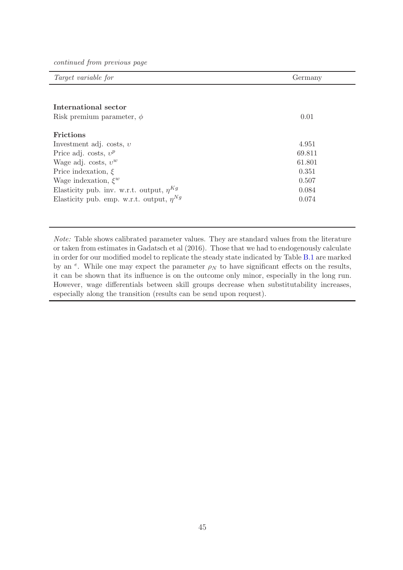continued from previous page

| <i>Target variable for</i>                      | Germany |
|-------------------------------------------------|---------|
|                                                 |         |
| International sector                            |         |
| Risk premium parameter, $\phi$                  | 0.01    |
| <b>Frictions</b>                                |         |
| Investment adj. costs, $v$                      | 4.951   |
| Price adj. costs, $v^p$                         | 69.811  |
| Wage adj. costs, $v^w$                          | 61.801  |
| Price indexation, $\xi$                         | 0.351   |
| Wage indexation, $\xi^w$                        | 0.507   |
| Elasticity pub. inv. w.r.t. output, $\eta^{Kg}$ | 0.084   |
| Elasticity pub. emp. w.r.t. output, $\eta^{Ng}$ | 0.074   |
|                                                 |         |
|                                                 |         |

Note: Table shows calibrated parameter values. They are standard values from the literature or taken from estimates in Gadatsch et al (2016). Those that we had to endogenously calculate in order for our modified model to replicate the steady state indicated by Table [B.1](#page-46-0) are marked by an  $e$ . While one may expect the parameter  $\rho_N$  to have significant effects on the results, it can be shown that its influence is on the outcome only minor, especially in the long run. However, wage differentials between skill groups decrease when substitutability increases, especially along the transition (results can be send upon request).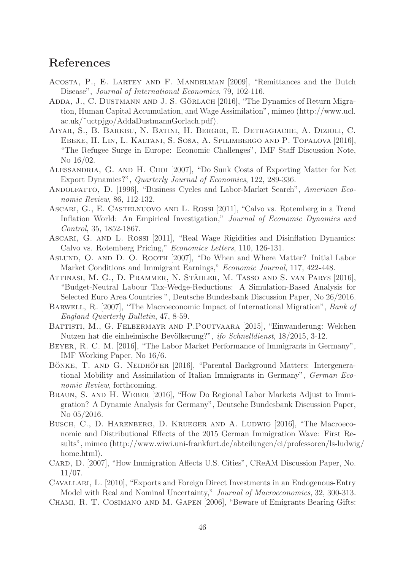## References

- Acosta, P., E. Lartey and F. Mandelman [2009], "Remittances and the Dutch Disease", Journal of International Economics, 79, 102-116.
- ADDA, J., C. DUSTMANN AND J. S. GÖRLACH [2016], "The Dynamics of Return Migration, Human Capital Accumulation, and Wage Assimilation", mimeo (http://www.ucl. ac.uk/˜uctpjgo/AddaDustmannGorlach.pdf).
- Aiyar, S., B. Barkbu, N. Batini, H. Berger, E. Detragiache, A. Dizioli, C. Ebeke, H. Lin, L. Kaltani, S. Sosa, A. Spilimbergo and P. Topalova [2016], "The Refugee Surge in Europe: Economic Challenges", IMF Staff Discussion Note, No 16/02.
- Alessandria, G. and H. Choi [2007], "Do Sunk Costs of Exporting Matter for Net Export Dynamics?", Quarterly Journal of Economics, 122, 289-336.
- ANDOLFATTO, D. [1996], "Business Cycles and Labor-Market Search", American Economic Review, 86, 112-132.
- Ascari, G., E. Castelnuovo and L. Rossi [2011], "Calvo vs. Rotemberg in a Trend Inflation World: An Empirical Investigation," Journal of Economic Dynamics and Control, 35, 1852-1867.
- Ascari, G. and L. Rossi [2011], "Real Wage Rigidities and Disinflation Dynamics: Calvo vs. Rotemberg Pricing," Economics Letters, 110, 126-131.
- ASLUND, O. AND D. O. ROOTH [2007], "Do When and Where Matter? Initial Labor Market Conditions and Immigrant Earnings," Economic Journal, 117, 422-448.
- ATTINASI, M. G., D. PRAMMER, N. STÄHLER, M. TASSO AND S. VAN PARYS [2016], "Budget-Neutral Labour Tax-Wedge-Reductions: A Simulation-Based Analysis for Selected Euro Area Countries ", Deutsche Bundesbank Discussion Paper, No 26/2016.
- BARWELL, R. [2007], "The Macroeconomic Impact of International Migration", Bank of England Quarterly Bulletin, 47, 8-59.
- Battisti, M., G. Felbermayr and P.Poutvaara [2015], "Einwanderung: Welchen Nutzen hat die einheimische Bevölkerung?", ifo Schnelldienst, 18/2015, 3-12.
- Beyer, R. C. M. [2016], "The Labor Market Performance of Immigrants in Germany", IMF Working Paper, No 16/6.
- BÖNKE, T. AND G. NEIDHÖFER [2016], "Parental Background Matters: Intergenerational Mobility and Assimilation of Italian Immigrants in Germany", German Economic Review, forthcoming.
- Braun, S. and H. Weber [2016], "How Do Regional Labor Markets Adjust to Immigration? A Dynamic Analysis for Germany", Deutsche Bundesbank Discussion Paper, No 05/2016.
- Busch, C., D. HARENBERG, D. KRUEGER AND A. LUDWIG [2016], "The Macroeconomic and Distributional Effects of the 2015 German Immigration Wave: First Results", mimeo (http://www.wiwi.uni-frankfurt.de/abteilungen/ei/professoren/ls-ludwig/ home.html).
- Card, D. [2007], "How Immigration Affects U.S. Cities", CReAM Discussion Paper, No. 11/07.
- Cavallari, L. [2010], "Exports and Foreign Direct Investments in an Endogenous-Entry Model with Real and Nominal Uncertainty," Journal of Macroeconomics, 32, 300-313.
- Chami, R. T. Cosimano and M. Gapen [2006], "Beware of Emigrants Bearing Gifts: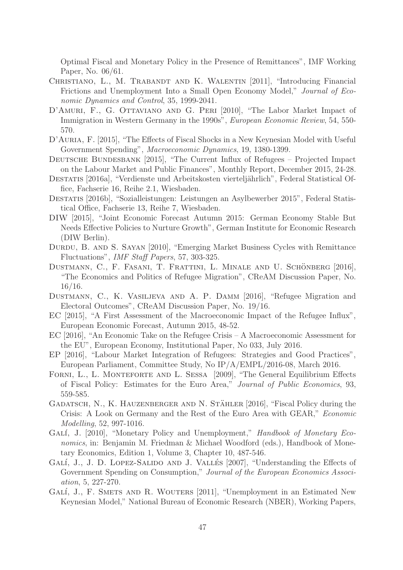Optimal Fiscal and Monetary Policy in the Presence of Remittances", IMF Working Paper, No. 06/61.

- CHRISTIANO, L., M. TRABANDT AND K. WALENTIN [2011], "Introducing Financial Frictions and Unemployment Into a Small Open Economy Model," Journal of Economic Dynamics and Control, 35, 1999-2041.
- D'AMURI, F., G. OTTAVIANO AND G. PERI [2010], "The Labor Market Impact of Immigration in Western Germany in the 1990s", European Economic Review, 54, 550- 570.
- D'Auria, F. [2015], "The Effects of Fiscal Shocks in a New Keynesian Model with Useful Government Spending", Macroeconomic Dynamics, 19, 1380-1399.
- DEUTSCHE BUNDESBANK [2015], "The Current Influx of Refugees Projected Impact on the Labour Market and Public Finances", Monthly Report, December 2015, 24-28.
- DESTATIS [2016a], "Verdienste und Arbeitskosten vierteljährlich", Federal Statistical Office, Fachserie 16, Reihe 2.1, Wiesbaden.
- Destatis [2016b], "Sozialleistungen: Leistungen an Asylbewerber 2015", Federal Statistical Office, Fachserie 13, Reihe 7, Wiesbaden.
- DIW [2015], "Joint Economic Forecast Autumn 2015: German Economy Stable But Needs Effective Policies to Nurture Growth", German Institute for Economic Research (DIW Berlin).
- DURDU, B. AND S. SAYAN [2010], "Emerging Market Business Cycles with Remittance Fluctuations", IMF Staff Papers, 57, 303-325.
- DUSTMANN, C., F. FASANI, T. FRATTINI, L. MINALE AND U. SCHÖNBERG [2016], "The Economics and Politics of Refugee Migration", CReAM Discussion Paper, No. 16/16.
- Dustmann, C., K. Vasiljeva and A. P. Damm [2016], "Refugee Migration and Electoral Outcomes", CReAM Discussion Paper, No. 19/16.
- EC [2015], "A First Assessment of the Macroeconomic Impact of the Refugee Influx", European Economic Forecast, Autumn 2015, 48-52.
- EC [2016], "An Economic Take on the Refugee Crisis A Macroeconomic Assessment for the EU", European Economy, Institutional Paper, No 033, July 2016.
- EP [2016], "Labour Market Integration of Refugees: Strategies and Good Practices", European Parliament, Committee Study, No IP/A/EMPL/2016-08, March 2016.
- FORNI, L., L. MONTEFORTE AND L. SESSA [2009], "The General Equilibrium Effects of Fiscal Policy: Estimates for the Euro Area," Journal of Public Economics, 93, 559-585.
- GADATSCH, N., K. HAUZENBERGER AND N. STÄHLER  $[2016]$ , "Fiscal Policy during the Crisis: A Look on Germany and the Rest of the Euro Area with GEAR," Economic Modelling, 52, 997-1016.
- GALÍ, J. [2010], "Monetary Policy and Unemployment," Handbook of Monetary Economics, in: Benjamin M. Friedman & Michael Woodford (eds.), Handbook of Monetary Economics, Edition 1, Volume 3, Chapter 10, 487-546.
- GALÍ, J., J. D. LOPEZ-SALIDO AND J. VALLÉS [2007], "Understanding the Effects of Government Spending on Consumption," Journal of the European Economics Association, 5, 227-270.
- GALÍ, J., F. SMETS AND R. WOUTERS [2011], "Unemployment in an Estimated New Keynesian Model," National Bureau of Economic Research (NBER), Working Papers,